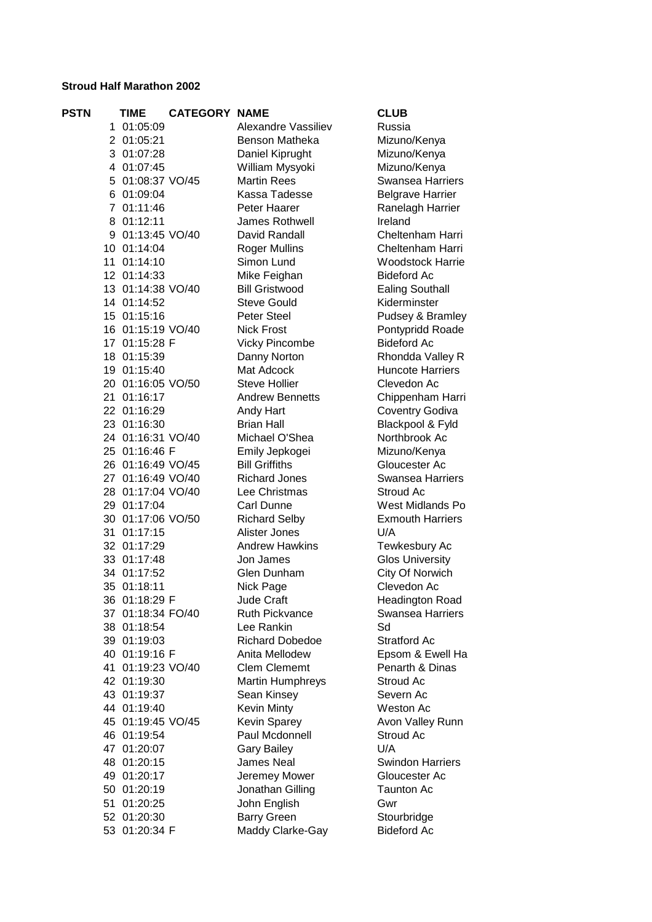## **Stroud Half Marathon 2002**

| <b>PSTN</b> | <b>TIME</b>                  | <b>CATEGORY NAME</b> |                                       | <b>CLUB</b>                         |
|-------------|------------------------------|----------------------|---------------------------------------|-------------------------------------|
|             | 1 01:05:09                   |                      | Alexandre Vassiliev                   | Russia                              |
|             | 2 01:05:21                   |                      | Benson Matheka                        | Mizuno/Kenya                        |
|             | 3 01:07:28                   |                      | Daniel Kiprught                       | Mizuno/Kenya                        |
|             | 4 01:07:45                   |                      | William Mysyoki                       | Mizuno/Kenya                        |
|             | 5 01:08:37 VO/45             |                      | <b>Martin Rees</b>                    | <b>Swansea Harriers</b>             |
|             | 6 01:09:04                   |                      | Kassa Tadesse                         | <b>Belgrave Harrier</b>             |
|             | 7 01:11:46                   |                      | Peter Haarer                          | Ranelagh Harrier                    |
|             | 8 01:12:11                   |                      | James Rothwell                        | Ireland                             |
|             | 9 01:13:45 VO/40             |                      | David Randall                         | Cheltenham Harri                    |
|             | 10 01:14:04                  |                      | <b>Roger Mullins</b>                  | Cheltenham Harri                    |
|             | 11 01:14:10                  |                      | Simon Lund                            | <b>Woodstock Harrie</b>             |
|             | 12 01:14:33                  |                      | Mike Feighan                          | <b>Bideford Ac</b>                  |
|             | 13 01:14:38 VO/40            |                      | <b>Bill Gristwood</b>                 | <b>Ealing Southall</b>              |
|             | 14 01:14:52                  |                      | <b>Steve Gould</b>                    | Kiderminster                        |
|             | 15 01:15:16                  |                      | Peter Steel                           | Pudsey & Bramley                    |
|             | 16 01:15:19 VO/40            |                      | <b>Nick Frost</b>                     | Pontypridd Roade                    |
|             | 17 01:15:28 F                |                      | <b>Vicky Pincombe</b>                 | <b>Bideford Ac</b>                  |
|             | 18 01:15:39                  |                      | Danny Norton                          | Rhondda Valley R                    |
|             | 19 01:15:40                  |                      | Mat Adcock                            | <b>Huncote Harriers</b>             |
|             | 20 01:16:05 VO/50            |                      | <b>Steve Hollier</b>                  | Clevedon Ac                         |
|             | 21 01:16:17                  |                      | <b>Andrew Bennetts</b>                | Chippenham Harri                    |
|             | 22 01:16:29                  |                      | Andy Hart                             | <b>Coventry Godiva</b>              |
|             | 23 01:16:30                  |                      | <b>Brian Hall</b>                     | Blackpool & Fyld                    |
|             | 24 01:16:31 VO/40            |                      | Michael O'Shea                        | Northbrook Ac                       |
|             | 25 01:16:46 F                |                      | Emily Jepkogei                        | Mizuno/Kenya                        |
|             | 26 01:16:49 VO/45            |                      | <b>Bill Griffiths</b>                 | Gloucester Ac                       |
|             | 27 01:16:49 VO/40            |                      | <b>Richard Jones</b>                  | <b>Swansea Harriers</b>             |
|             | 28 01:17:04 VO/40            |                      | Lee Christmas                         | Stroud Ac                           |
|             | 29 01:17:04                  |                      | Carl Dunne                            | West Midlands Po                    |
|             | 30 01:17:06 VO/50            |                      | <b>Richard Selby</b>                  | <b>Exmouth Harriers</b>             |
|             | 31 01:17:15                  |                      | Alister Jones                         | U/A                                 |
|             | 32 01:17:29                  |                      | <b>Andrew Hawkins</b>                 | Tewkesbury Ac                       |
|             | 33 01:17:48                  |                      | Jon James                             | <b>Glos University</b>              |
|             | 34 01:17:52                  |                      | Glen Dunham                           | City Of Norwich                     |
|             | 35 01:18:11                  |                      | Nick Page                             | Clevedon Ac                         |
|             | 36 01:18:29 F                |                      | <b>Jude Craft</b>                     | Headington Road                     |
|             | 37 01:18:34 FO/40            |                      | Ruth Pickvance                        | <b>Swansea Harriers</b>             |
|             | 38 01:18:54                  |                      | Lee Rankin                            | Sd                                  |
|             | 39 01:19:03<br>40 01:19:16 F |                      | <b>Richard Dobedoe</b>                | <b>Stratford Ac</b>                 |
|             | 41 01:19:23 VO/40            |                      | Anita Mellodew<br><b>Clem Clememt</b> | Epsom & Ewell Ha<br>Penarth & Dinas |
|             | 42 01:19:30                  |                      | Martin Humphreys                      | Stroud Ac                           |
|             | 43 01:19:37                  |                      | Sean Kinsey                           | Severn Ac                           |
|             | 44 01:19:40                  |                      | Kevin Minty                           | Weston Ac                           |
|             | 45 01:19:45 VO/45            |                      | Kevin Sparey                          | Avon Valley Runn                    |
|             | 46 01:19:54                  |                      | Paul Mcdonnell                        | Stroud Ac                           |
|             | 47 01:20:07                  |                      | <b>Gary Bailey</b>                    | U/A                                 |
|             | 48 01:20:15                  |                      | James Neal                            | <b>Swindon Harriers</b>             |
|             | 49 01:20:17                  |                      | Jeremey Mower                         | Gloucester Ac                       |
|             | 50 01:20:19                  |                      | Jonathan Gilling                      | <b>Taunton Ac</b>                   |
|             | 51 01:20:25                  |                      | John English                          | Gwr                                 |
|             | 52 01:20:30                  |                      | <b>Barry Green</b>                    | Stourbridge                         |
|             | 53 01:20:34 F                |                      | Maddy Clarke-Gay                      | <b>Bideford Ac</b>                  |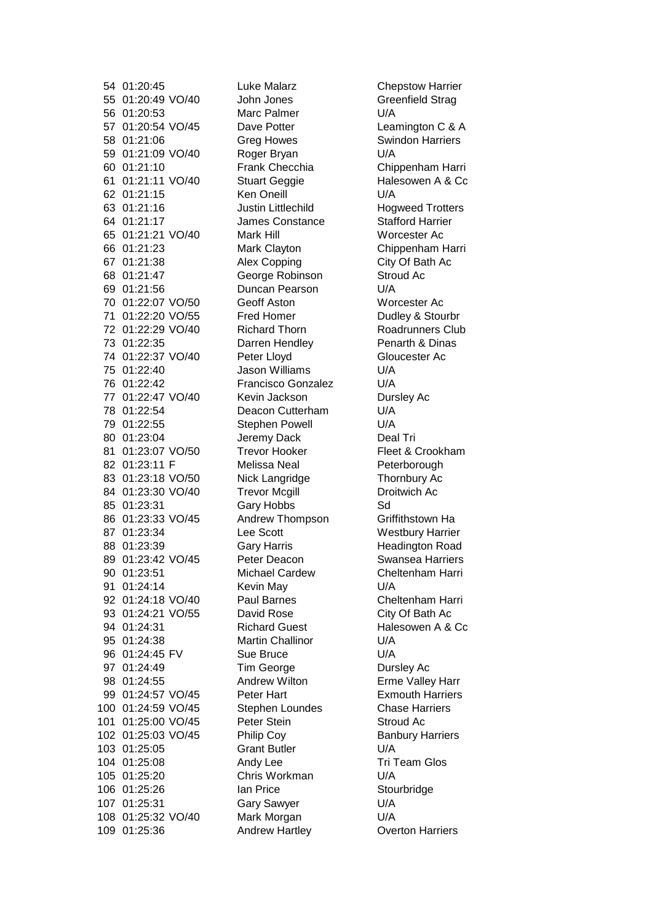54 01:20:45 Luke Malarz Chepstow Harrier 55 01:20:49 VO/40 John Jones Greenfield Strag 56 01:20:53 Marc Palmer U/A 57 01:20:54 VO/45 Dave Potter Leamington C & A 58 01:21:06 Greg Howes Swindon Harriers 59 01:21:09 VO/40 Roger Bryan U/A 60 01:21:10 Frank Checchia Chippenham Harri 61 01:21:11 VO/40 Stuart Geggie Halesowen A & Cc 62 01:21:15 Ken Oneill U/A 63 01:21:16 Justin Littlechild Hogweed Trotters 64 01:21:17 James Constance Stafford Harrier 65 01:21:21 VO/40 Mark Hill Worcester Ac 66 01:21:23 Mark Clayton Chippenham Harri 67 01:21:38 Alex Copping City Of Bath Ac 68 01:21:47 **George Robinson** Stroud Ac 69 01:21:56 Duncan Pearson U/A 70 01:22:07 VO/50 Geoff Aston Worcester Ac 71 01:22:20 VO/55 Fred Homer Dudley & Stourbr 72 01:22:29 VO/40 Richard Thorn Roadrunners Club 73 01:22:35 Darren Hendley Penarth & Dinas 74 01:22:37 VO/40 Peter Lloyd Gloucester Ac 75 01:22:40 Jason Williams U/A 76 01:22:42 Francisco Gonzalez U/A 77 01:22:47 VO/40 Kevin Jackson Dursley Ac 78 01:22:54 Deacon Cutterham U/A 79 01:22:55 Stephen Powell U/A 80 01:23:04 Jeremy Dack Deal Tri 81 01:23:07 VO/50 Trevor Hooker Fleet & Crookham 82 01:23:11 F Melissa Neal Peterborough 83 01:23:18 VO/50 Nick Langridge Thornbury Ac 84 01:23:30 VO/40 Trevor Mcgill Droitwich Ac 85 01:23:31 Gary Hobbs Sd 86 01:23:33 VO/45 Andrew Thompson Griffithstown Ha 87 01:23:34 Lee Scott Westbury Harrier 88 01:23:39 **Gary Harris** Headington Road 89 01:23:42 VO/45 Peter Deacon Swansea Harriers 90 01:23:51 Michael Cardew Cheltenham Harri 91 01:24:14 Kevin May U/A 92 01:24:18 VO/40 Paul Barnes Cheltenham Harri 93 01:24:21 VO/55 David Rose City Of Bath Ac 94 01:24:31 Richard Guest Halesowen A & Cc 95 01:24:38 Martin Challinor U/A 96 01:24:45 FV Sue Bruce U/A 97 01:24:49 Tim George Dursley Ac 98 01:24:55 Andrew Wilton Erme Valley Harr 99 01:24:57 VO/45 Peter Hart Exmouth Harriers 100 01:24:59 VO/45 Stephen Loundes Chase Harriers 101 01:25:00 VO/45 Peter Stein Stroud Ac 102 01:25:03 VO/45 Philip Coy Banbury Harriers 103 01:25:05 Grant Butler U/A 104 01:25:08 Andy Lee Tri Team Glos 105 01:25:20 Chris Workman U/A 106 01:25:26 Ian Price Stourbridge 107 01:25:31 Gary Sawyer U/A 108 01:25:32 VO/40 Mark Morgan U/A 109 01:25:36 Andrew Hartley Overton Harriers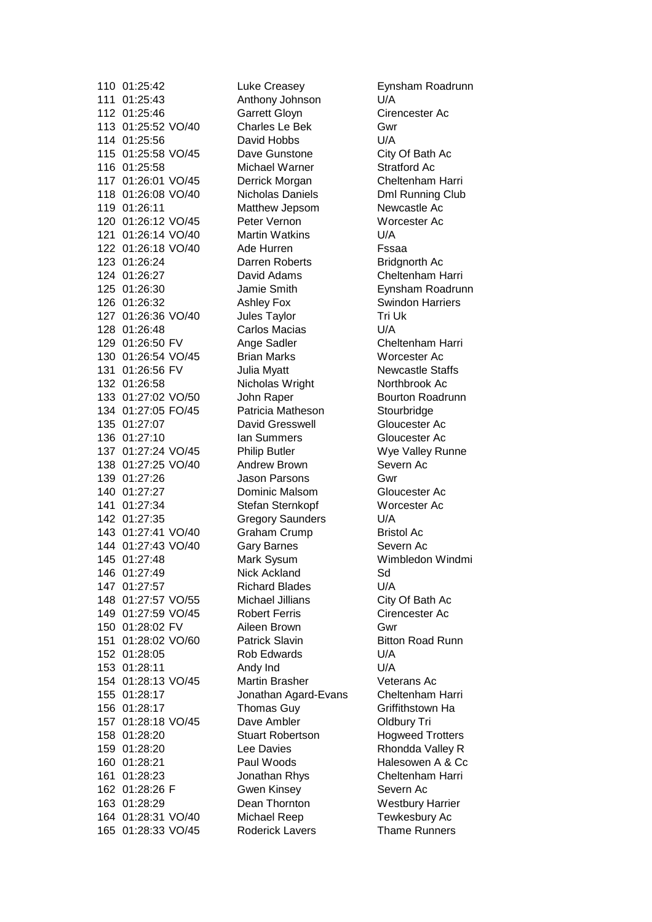110 01:25:42 Luke Creasey Eynsham Roadrunn 111 01:25:43 Anthony Johnson U/A 112 01:25:46 Garrett Gloyn Cirencester Ac 113 01:25:52 VO/40 Charles Le Bek Gwr 114 01:25:56 David Hobbs U/A 115 01:25:58 VO/45 Dave Gunstone City Of Bath Ac 116 01:25:58 Michael Warner Stratford Ac 117 01:26:01 VO/45 Derrick Morgan Cheltenham Harri 118 01:26:08 VO/40 Nicholas Daniels Dml Running Club 119 01:26:11 Matthew Jepsom Newcastle Ac 120 01:26:12 VO/45 Peter Vernon Worcester Ac 121 01:26:14 VO/40 Martin Watkins U/A 122 01:26:18 VO/40 Ade Hurren Fssaa 123 01:26:24 Darren Roberts Bridgnorth Ac 124 01:26:27 David Adams Cheltenham Harri 125 01:26:30 Jamie Smith Eynsham Roadrunn 126 01:26:32 Ashley Fox Swindon Harriers 127 01:26:36 VO/40 Jules Taylor Tri Uk 128 01:26:48 Carlos Macias U/A 129 01:26:50 FV Ange Sadler Cheltenham Harri 130 01:26:54 VO/45 Brian Marks Worcester Ac 131 01:26:56 FV Julia Myatt Newcastle Staffs 132 01:26:58 Nicholas Wright Northbrook Ac 133 01:27:02 VO/50 John Raper Bourton Roadrunn 134 01:27:05 FO/45 Patricia Matheson Stourbridge 135 01:27:07 David Gresswell Gloucester Ac 136 01:27:10 Ian Summers Gloucester Ac 137 01:27:24 VO/45 Philip Butler Wye Valley Runne 138 01:27:25 VO/40 Andrew Brown Severn Ac 139 01:27:26 Jason Parsons Gwr 140 01:27:27 Dominic Malsom Gloucester Ac 141 01:27:34 Stefan Sternkopf Worcester Ac 142 01:27:35 Gregory Saunders U/A 143 01:27:41 VO/40 Graham Crump Bristol Ac 144 01:27:43 VO/40 Gary Barnes Severn Ac 145 01:27:48 Mark Sysum Wimbledon Windmi 146 01:27:49 Nick Ackland Sd 147 01:27:57 Richard Blades U/A 148 01:27:57 VO/55 Michael Jillians City Of Bath Ac 149 01:27:59 VO/45 Robert Ferris Cirencester Ac 150 01:28:02 FV Aileen Brown Gwr 151 01:28:02 VO/60 Patrick Slavin Bitton Road Runn 152 01:28:05 Rob Edwards U/A 153 01:28:11 Andy Ind U/A 154 01:28:13 VO/45 Martin Brasher Veterans Ac 155 01:28:17 Jonathan Agard-Evans Cheltenham Harri 156 01:28:17 Thomas Guy Griffithstown Ha 157 01:28:18 VO/45 Dave Ambler Oldbury Tri 158 01:28:20 **Stuart Robertson** Hogweed Trotters 159 01:28:20 Lee Davies Rhondda Valley R 160 01:28:21 Paul Woods Halesowen A & Cc 161 01:28:23 Jonathan Rhys Cheltenham Harri 162 01:28:26 F Gwen Kinsey Severn Ac 163 01:28:29 Dean Thornton Westbury Harrier 164 01:28:31 VO/40 Michael Reep Tewkesbury Ac 165 01:28:33 VO/45 Roderick Lavers Thame Runners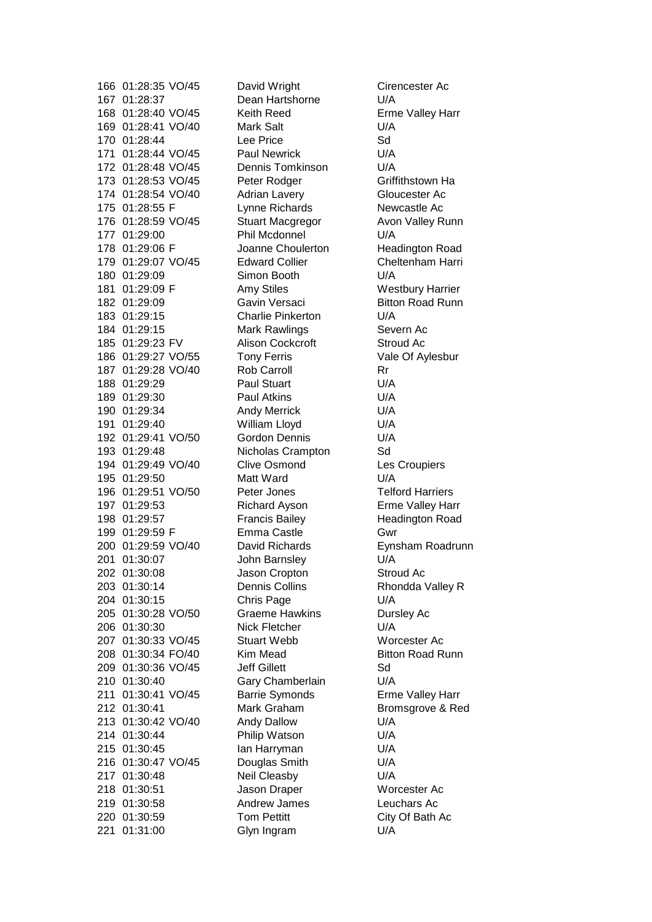166 01:28:35 VO/45 David Wright Cirencester Ac 167 01:28:37 Dean Hartshorne U/A 168 01:28:40 VO/45 Keith Reed Erme Valley Harr 169 01:28:41 VO/40 Mark Salt U/A 170 01:28:44 Lee Price Sd 171 01:28:44 VO/45 Paul Newrick U/A 172 01:28:48 VO/45 Dennis Tomkinson U/A 173 01:28:53 VO/45 Peter Rodger Griffithstown Ha 174 01:28:54 VO/40 Adrian Lavery Gloucester Ac 175 01:28:55 F Lynne Richards Newcastle Ac 176 01:28:59 VO/45 Stuart Macgregor Avon Valley Runn 177 01:29:00 Phil Mcdonnel U/A 178 01:29:06 F Joanne Choulerton Headington Road 179 01:29:07 VO/45 Edward Collier Cheltenham Harri 180 01:29:09 Simon Booth U/A 181 01:29:09 F Amy Stiles Westbury Harrier 182 01:29:09 **Gavin Versaci** Bitton Road Runn 183 01:29:15 Charlie Pinkerton U/A 184 01:29:15 Mark Rawlings Severn Ac 185 01:29:23 FV Alison Cockcroft Stroud Ac 186 01:29:27 VO/55 Tony Ferris Vale Of Aylesbur 187 01:29:28 VO/40 Rob Carroll Rr 188 01:29:29 Paul Stuart U/A 189 01:29:30 Paul Atkins U/A 190 01:29:34 Andy Merrick U/A 191 01:29:40 William Lloyd U/A 192 01:29:41 VO/50 Gordon Dennis U/A 193 01:29:48 Nicholas Crampton Sd 194 01:29:49 VO/40 Clive Osmond Les Croupiers 195 01:29:50 Matt Ward U/A 196 01:29:51 VO/50 Peter Jones Telford Harriers 197 01:29:53 Richard Ayson Erme Valley Harr 198 01:29:57 Francis Bailey Headington Road 199 01:29:59 F Emma Castle Gwr 200 01:29:59 VO/40 David Richards Eynsham Roadrunn 201 01:30:07 John Barnsley U/A 202 01:30:08 Jason Cropton Stroud Ac 203 01:30:14 Dennis Collins Rhondda Valley R 204 01:30:15 Chris Page U/A 205 01:30:28 VO/50 Graeme Hawkins Dursley Ac 206 01:30:30 Nick Fletcher U/A 207 01:30:33 VO/45 Stuart Webb Worcester Ac 208 01:30:34 FO/40 Kim Mead Bitton Road Runn 209 01:30:36 VO/45 Jeff Gillett Sd 210 01:30:40 Gary Chamberlain U/A 211 01:30:41 VO/45 Barrie Symonds Erme Valley Harr 212 01:30:41 Mark Graham Bromsgrove & Red 213 01:30:42 VO/40 Andy Dallow U/A 214 01:30:44 Philip Watson U/A 215 01:30:45 Ian Harryman U/A 216 01:30:47 VO/45 Douglas Smith U/A 217 01:30:48 Neil Cleasby U/A 218 01:30:51 Jason Draper Worcester Ac 219 01:30:58 Andrew James Leuchars Ac 220 01:30:59 Tom Pettitt City Of Bath Ac 221 01:31:00 Glyn Ingram U/A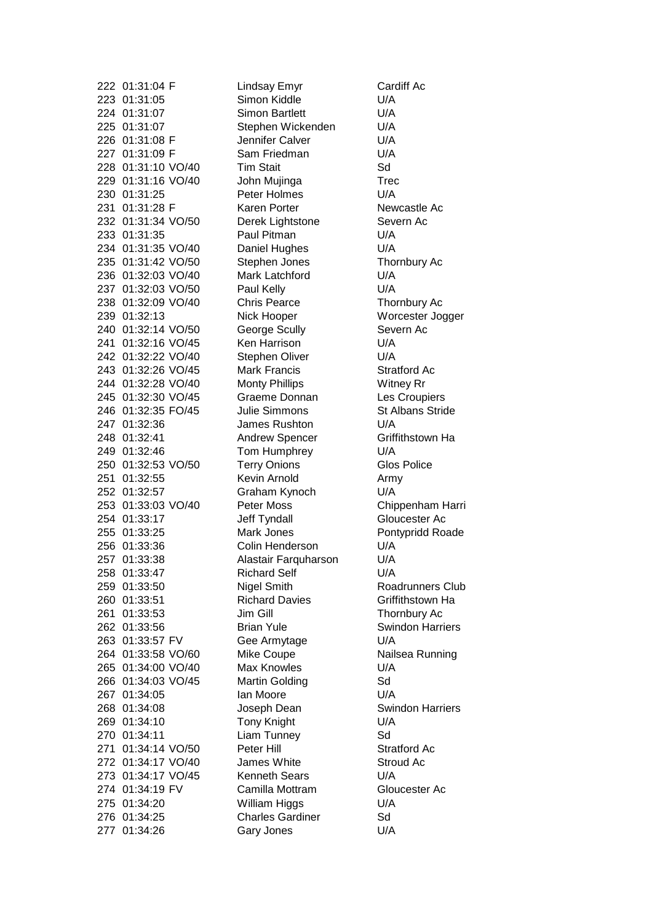223 01:31:05 Simon Kiddle U/A 224 01:31:07 Simon Bartlett U/A 225 01:31:07 Stephen Wickenden U/A 226 01:31:08 F Jennifer Calver U/A 227 01:31:09 F Sam Friedman U/A 228 01:31:10 VO/40 Tim Stait Sd 229 01:31:16 VO/40 John Mujinga Trec 230 01:31:25 Peter Holmes U/A 231 01:31:28 F Karen Porter Newcastle Ac 232 01:31:34 VO/50 Derek Lightstone Severn Ac 233 01:31:35 Paul Pitman U/A 234 01:31:35 VO/40 Daniel Hughes U/A 235 01:31:42 VO/50 Stephen Jones Thornbury Ac 236 01:32:03 VO/40 Mark Latchford U/A 237 01:32:03 VO/50 Paul Kelly U/A 238 01:32:09 VO/40 Chris Pearce Thornbury Ac 239 01:32:13 Nick Hooper Worcester Jogger 240 01:32:14 VO/50 George Scully Severn Ac 241 01:32:16 VO/45 Ken Harrison U/A 242 01:32:22 VO/40 Stephen Oliver U/A 243 01:32:26 VO/45 Mark Francis Stratford Ac 244 01:32:28 VO/40 Monty Phillips Witney Rr 245 01:32:30 VO/45 Graeme Donnan Les Croupiers 246 01:32:35 FO/45 Julie Simmons St Albans Stride 247 01:32:36 James Rushton U/A 248 01:32:41 Andrew Spencer Griffithstown Ha 249 01:32:46 Tom Humphrey U/A 250 01:32:53 VO/50 Terry Onions Glos Police 251 01:32:55 Kevin Arnold Army 252 01:32:57 Graham Kynoch U/A 253 01:33:03 VO/40 Peter Moss Chippenham Harri 254 01:33:17 Jeff Tyndall Gloucester Ac 255 01:33:25 Mark Jones Pontypridd Roade 256 01:33:36 Colin Henderson U/A 257 01:33:38 Alastair Farquharson U/A 258 01:33:47 Richard Self U/A 259 01:33:50 Nigel Smith Roadrunners Club 260 01:33:51 Richard Davies Griffithstown Ha 261 01:33:53 Jim Gill Thornbury Ac 262 01:33:56 Brian Yule Swindon Harriers 263 01:33:57 FV Gee Armytage U/A 264 01:33:58 VO/60 Mike Coupe Nailsea Running 265 01:34:00 VO/40 Max Knowles U/A 266 01:34:03 VO/45 Martin Golding Sd 267 01:34:05 Ian Moore U/A 268 01:34:08 Joseph Dean Swindon Harriers 269 01:34:10 Tony Knight U/A 270 01:34:11 Liam Tunney Sd 271 01:34:14 VO/50 Peter Hill Stratford Ac 272 01:34:17 VO/40 James White Stroud Ac 273 01:34:17 VO/45 Kenneth Sears U/A 274 01:34:19 FV Camilla Mottram Gloucester Ac 275 01:34:20 William Higgs U/A 276 01:34:25 Charles Gardiner Sd 277 01:34:26 Gary Jones U/A

222 01:31:04 F Lindsay Emyr Cardiff Ac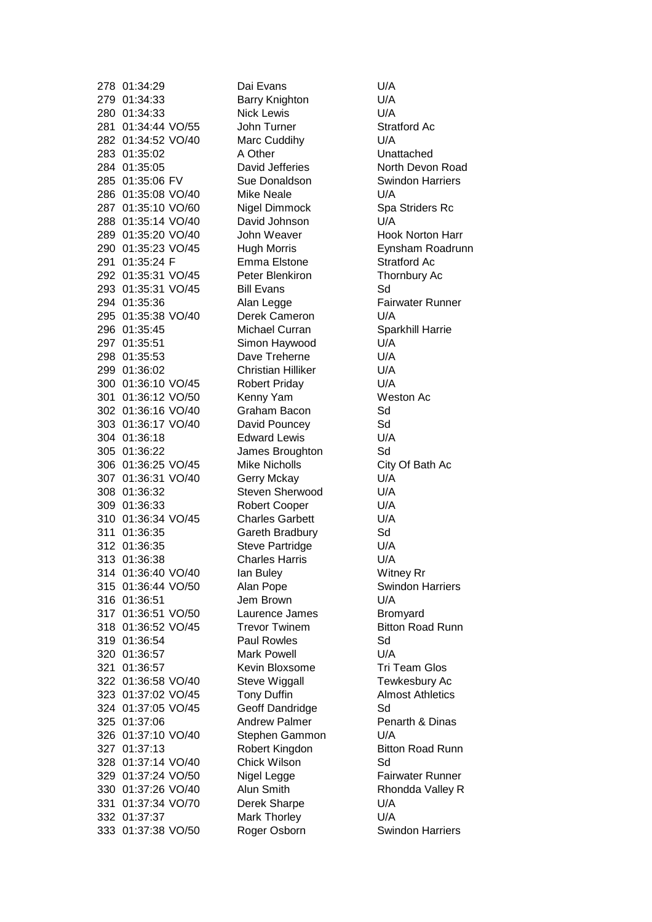278 01:34:29 Dai Evans U/A 279 01:34:33 Barry Knighton U/A 280 01:34:33 Nick Lewis U/A 281 01:34:44 VO/55 John Turner Stratford Ac Stratford Ac 382 01:34:52 VO/40 Marc Cuddihy 282 01:34:52 VO/40 Marc Cuddihy U/A 283 01:35:02 A Other Unattached 284 01:35:05 David Jefferies North Devon Road 285 01:35:06 FV Sue Donaldson Swindon Harriers 286 01:35:08 VO/40 Mike Neale U/A 287 01:35:10 VO/60 Nigel Dimmock Spa Striders Rc 288 01:35:14 VO/40 David Johnson U/A 289 01:35:20 VO/40 John Weaver Hook Norton Harr 290 01:35:23 VO/45 Hugh Morris Eynsham Roadrunn 291 01:35:24 F Emma Elstone Stratford Ac 292 01:35:31 VO/45 Peter Blenkiron Thornbury Ac 293 01:35:31 VO/45 Bill Evans Sd 294 01:35:36 Alan Legge Fairwater Runner 295 01:35:38 VO/40 Derek Cameron U/A 296 01:35:45 Michael Curran Sparkhill Harrie 297 01:35:51 Simon Haywood U/A 298 01:35:53 Dave Treherne U/A 299 01:36:02 Christian Hilliker U/A 300 01:36:10 VO/45 Robert Priday U/A 301 01:36:12 VO/50 Kenny Yam Weston Ac 302 01:36:16 VO/40 Graham Bacon Sd 303 01:36:17 VO/40 David Pouncey Sd 304 01:36:18 Edward Lewis U/A 305 01:36:22 James Broughton Sd 306 01:36:25 VO/45 Mike Nicholls City Of Bath Ac 307 01:36:31 VO/40 Gerry Mckay U/A 308 01:36:32 Steven Sherwood U/A 309 01:36:33 Robert Cooper U/A 310 01:36:34 VO/45 Charles Garbett U/A 311 01:36:35 Gareth Bradbury Sd 312 01:36:35 Steve Partridge U/A 313 01:36:38 Charles Harris U/A 314 01:36:40 VO/40 Ian Buley Witney Rr 315 01:36:44 VO/50 Alan Pope Swindon Harriers 316 01:36:51 Jem Brown U/A 317 01:36:51 VO/50 Laurence James Bromyard 318 01:36:52 VO/45 Trevor Twinem Bitton Road Runn 319 01:36:54 Paul Rowles Sd 320 01:36:57 Mark Powell U/A 321 01:36:57 Kevin Bloxsome Tri Team Glos 322 01:36:58 VO/40 Steve Wiggall Tewkesbury Ac 323 01:37:02 VO/45 Tony Duffin Almost Athletics 324 01:37:05 VO/45 Geoff Dandridge Sd 325 01:37:06 Andrew Palmer Penarth & Dinas 326 01:37:10 VO/40 Stephen Gammon U/A 327 01:37:13 Robert Kingdon Bitton Road Runn 328 01:37:14 VO/40 Chick Wilson Sd 329 01:37:24 VO/50 Nigel Legge Fairwater Runner 330 01:37:26 VO/40 Alun Smith Rhondda Valley R 331 01:37:34 VO/70 Derek Sharpe U/A 332 01:37:37 Mark Thorley U/A 333 01:37:38 VO/50 Roger Osborn Swindon Harriers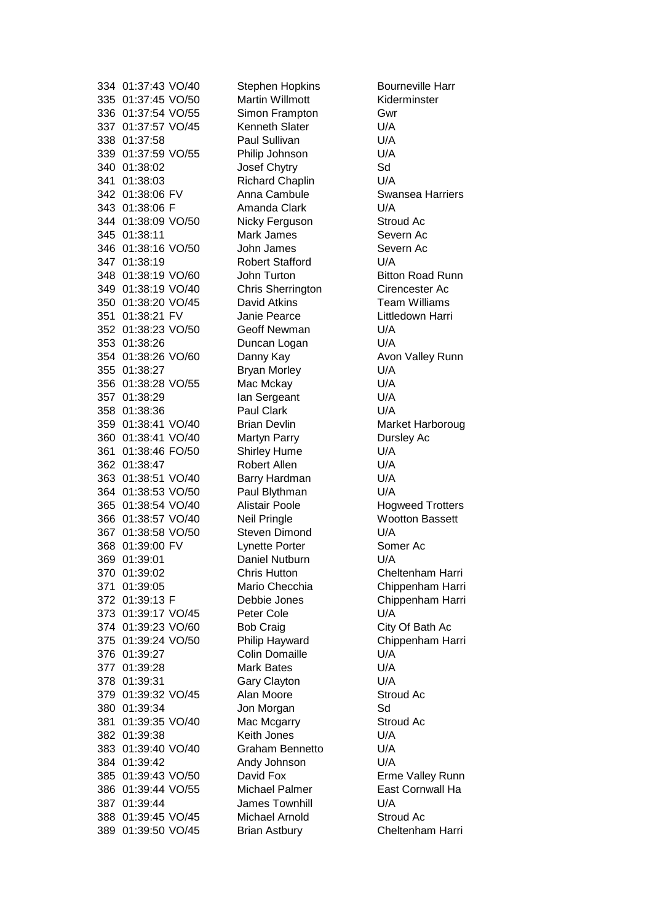335 01:37:45 VO/50 Martin Willmott Kiderminster 336 01:37:54 VO/55 Simon Frampton Gwr 337 01:37:57 VO/45 Kenneth Slater U/A 338 01:37:58 Paul Sullivan U/A 339 01:37:59 VO/55 Philip Johnson U/A 340 01:38:02 Josef Chytry Sd 341 01:38:03 Richard Chaplin U/A 342 01:38:06 FV Anna Cambule Swansea Harriers 343 01:38:06 F Amanda Clark U/A 344 01:38:09 VO/50 Nicky Ferguson Stroud Ac 345 01:38:11 Mark James Severn Ac 346 01:38:16 VO/50 John James Severn Ac 347 01:38:19 Robert Stafford U/A 348 01:38:19 VO/60 John Turton Bitton Road Runn 349 01:38:19 VO/40 Chris Sherrington Cirencester Ac 350 01:38:20 VO/45 David Atkins Team Williams 351 01:38:21 FV Janie Pearce Littledown Harri 352 01:38:23 VO/50 Geoff Newman U/A 353 01:38:26 Duncan Logan U/A 354 01:38:26 VO/60 Danny Kay Avon Valley Runn 355 01:38:27 Bryan Morley U/A 356 01:38:28 VO/55 Mac Mckay U/A 357 01:38:29 Ian Sergeant U/A 358 01:38:36 Paul Clark U/A 359 01:38:41 VO/40 Brian Devlin Market Harboroug 360 01:38:41 VO/40 Martyn Parry Dursley Ac 361 01:38:46 FO/50 Shirley Hume U/A 362 01:38:47 Robert Allen U/A 363 01:38:51 VO/40 Barry Hardman U/A 364 01:38:53 VO/50 Paul Blythman U/A 365 01:38:54 VO/40 Alistair Poole Hogweed Trotters 366 01:38:57 VO/40 Neil Pringle Wootton Bassett 367 01:38:58 VO/50 Steven Dimond U/A 368 01:39:00 FV Lynette Porter Somer Ac 369 01:39:01 Daniel Nutburn U/A 370 01:39:02 Chris Hutton Cheltenham Harri 371 01:39:05 Mario Checchia Chippenham Harri 372 01:39:13 F Debbie Jones Chippenham Harri 373 01:39:17 VO/45 Peter Cole U/A 374 01:39:23 VO/60 Bob Craig City Of Bath Ac 375 01:39:24 VO/50 Philip Hayward Chippenham Harri 376 01:39:27 Colin Domaille U/A 377 01:39:28 Mark Bates U/A 378 01:39:31 Gary Clayton U/A 379 01:39:32 VO/45 Alan Moore Stroud Ac 380 01:39:34 Jon Morgan Sd 381 01:39:35 VO/40 Mac Mcgarry Stroud Ac 382 01:39:38 Keith Jones U/A 383 01:39:40 VO/40 Graham Bennetto U/A 384 01:39:42 Andy Johnson U/A 385 01:39:43 VO/50 David Fox Erme Valley Runn 386 01:39:44 VO/55 Michael Palmer East Cornwall Ha 387 01:39:44 James Townhill U/A 388 01:39:45 VO/45 Michael Arnold Stroud Ac 389 01:39:50 VO/45 Brian Astbury Cheltenham Harri

334 01:37:43 VO/40 Stephen Hopkins Bourneville Harr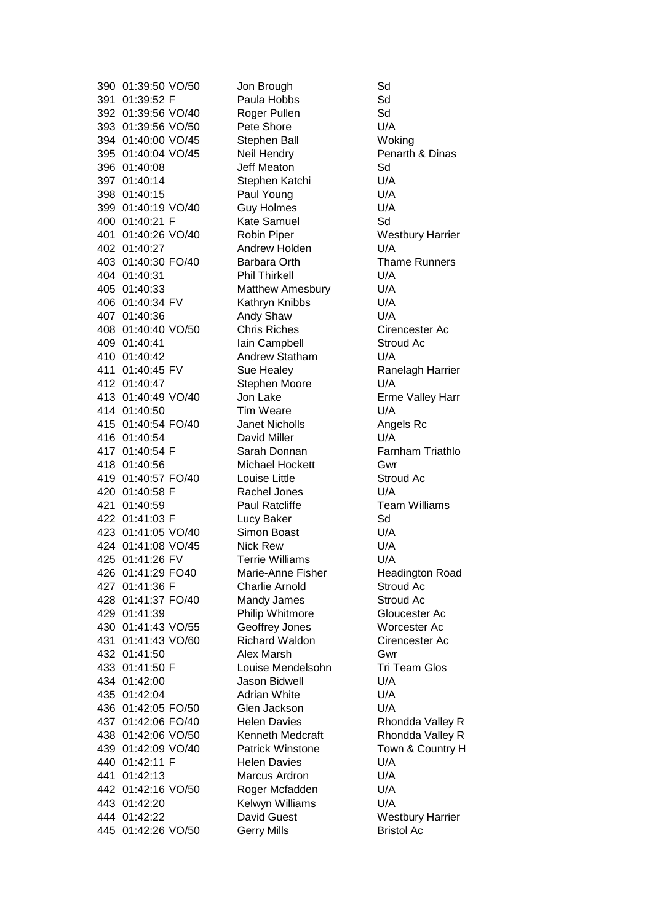390 01:39:50 VO/50 Jon Brough Sd 391 01:39:52 F Paula Hobbs Sd 392 01:39:56 VO/40 Roger Pullen Sd 393 01:39:56 VO/50 Pete Shore U/A 394 01:40:00 VO/45 Stephen Ball Woking 395 01:40:04 VO/45 Neil Hendry Penarth & Dinas 396 01:40:08 Jeff Meaton Sd 397 01:40:14 Stephen Katchi U/A 398 01:40:15 Paul Young U/A 399 01:40:19 VO/40 Guy Holmes U/A 400 01:40:21 F Kate Samuel Sd 401 01:40:26 VO/40 Robin Piper Westbury Harrier 402 01:40:27 Andrew Holden U/A 403 01:40:30 FO/40 Barbara Orth Thame Runners 404 01:40:31 Phil Thirkell U/A 405 01:40:33 Matthew Amesbury U/A 406 01:40:34 FV Kathryn Knibbs U/A 407 01:40:36 Andy Shaw U/A 408 01:40:40 VO/50 Chris Riches Cirencester Ac 409 01:40:41 Iain Campbell Stroud Ac 410 01:40:42 Andrew Statham U/A 411 01:40:45 FV Sue Healey Ranelagh Harrier 412 01:40:47 Stephen Moore U/A 413 01:40:49 VO/40 Jon Lake Erme Valley Harr 414 01:40:50 Tim Weare U/A 415 01:40:54 FO/40 Janet Nicholls Angels Rc 416 01:40:54 David Miller U/A 417 01:40:54 F Sarah Donnan Farnham Triathlo 418 01:40:56 Michael Hockett Gwr 419 01:40:57 FO/40 Louise Little Stroud Ac 420 01:40:58 F Rachel Jones U/A 421 01:40:59 Paul Ratcliffe Team Williams 422 01:41:03 F Lucy Baker Sd 423 01:41:05 VO/40 Simon Boast U/A 424 01:41:08 VO/45 Nick Rew U/A 425 01:41:26 FV Terrie Williams U/A 426 01:41:29 FO40 Marie-Anne Fisher Headington Road 427 01:41:36 F Charlie Arnold Stroud Ac 428 01:41:37 FO/40 Mandy James Stroud Ac 429 01:41:39 Philip Whitmore Gloucester Ac 430 01:41:43 VO/55 Geoffrey Jones Worcester Ac 431 01:41:43 VO/60 Richard Waldon Cirencester Ac 432 01:41:50 Alex Marsh Gwr 433 01:41:50 F Louise Mendelsohn Tri Team Glos 434 01:42:00 Jason Bidwell U/A 435 01:42:04 Adrian White U/A 436 01:42:05 FO/50 Glen Jackson U/A 437 01:42:06 FO/40 Helen Davies Rhondda Valley R 438 01:42:06 VO/50 Kenneth Medcraft Rhondda Valley R 439 01:42:09 VO/40 Patrick Winstone Town & Country H 440 01:42:11 F Helen Davies U/A 441 01:42:13 Marcus Ardron U/A 442 01:42:16 VO/50 Roger Mcfadden U/A 443 01:42:20 Kelwyn Williams U/A 444 01:42:22 David Guest Westbury Harrier 445 01:42:26 VO/50 Gerry Mills Bristol Ac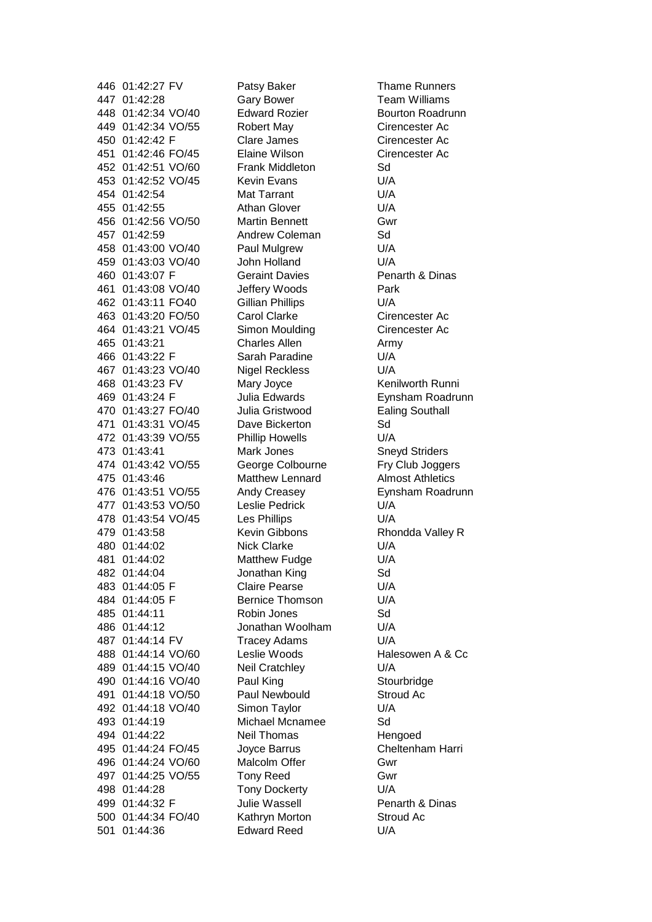446 01:42:27 FV Patsy Baker Thame Runners 447 01:42:28 Gary Bower Team Williams 448 01:42:34 VO/40 Edward Rozier Bourton Roadrunn 449 01:42:34 VO/55 Robert May Cirencester Ac 450 01:42:42 F Clare James Cirencester Ac 451 01:42:46 FO/45 Elaine Wilson Cirencester Ac 452 01:42:51 VO/60 Frank Middleton Sd 453 01:42:52 VO/45 Kevin Evans U/A 454 01:42:54 Mat Tarrant U/A 455 01:42:55 Athan Glover U/A 456 01:42:56 VO/50 Martin Bennett Gwr 457 01:42:59 Andrew Coleman Sd 458 01:43:00 VO/40 Paul Mulgrew U/A 459 01:43:03 VO/40 John Holland U/A 460 01:43:07 F Geraint Davies Penarth & Dinas 461 01:43:08 VO/40 Jeffery Woods Park 462 01:43:11 FO40 Gillian Phillips U/A 463 01:43:20 FO/50 Carol Clarke Cirencester Ac 464 01:43:21 VO/45 Simon Moulding Cirencester Ac 465 01:43:21 Charles Allen Army 466 01:43:22 F Sarah Paradine U/A 467 01:43:23 VO/40 Nigel Reckless U/A 468 01:43:23 FV Mary Joyce Kenilworth Runni 469 01:43:24 F Julia Edwards Eynsham Roadrunn 470 01:43:27 FO/40 Julia Gristwood Ealing Southall 471 01:43:31 VO/45 Dave Bickerton Sd 472 01:43:39 VO/55 Phillip Howells U/A 473 01:43:41 Mark Jones Sneyd Striders 474 01:43:42 VO/55 George Colbourne Fry Club Joggers 475 01:43:46 Matthew Lennard Almost Athletics 476 01:43:51 VO/55 Andy Creasey Eynsham Roadrunn 477 01:43:53 VO/50 Leslie Pedrick U/A 478 01:43:54 VO/45 Les Phillips U/A 479 01:43:58 Kevin Gibbons Rhondda Valley R 480 01:44:02 Nick Clarke U/A 481 01:44:02 Matthew Fudge U/A 482 01:44:04 Jonathan King Sd 483 01:44:05 F Claire Pearse U/A 484 01:44:05 F Bernice Thomson U/A 485 01:44:11 Robin Jones Sd 486 01:44:12 Jonathan Woolham U/A 487 01:44:14 FV Tracey Adams U/A 488 01:44:14 VO/60 Leslie Woods Halesowen A & Cc 489 01:44:15 VO/40 Neil Cratchley U/A 490 01:44:16 VO/40 Paul King Stourbridge 491 01:44:18 VO/50 Paul Newbould Stroud Ac 492 01:44:18 VO/40 Simon Taylor U/A 493 01:44:19 Michael Mcnamee Sd 494 01:44:22 Neil Thomas Hengoed 495 01:44:24 FO/45 Joyce Barrus Cheltenham Harri 496 01:44:24 VO/60 Malcolm Offer Gwr 497 01:44:25 VO/55 Tony Reed Gwr 498 01:44:28 Tony Dockerty U/A 499 01:44:32 F Julie Wassell Penarth & Dinas 500 01:44:34 FO/40 Kathryn Morton Stroud Ac 501 01:44:36 Edward Reed U/A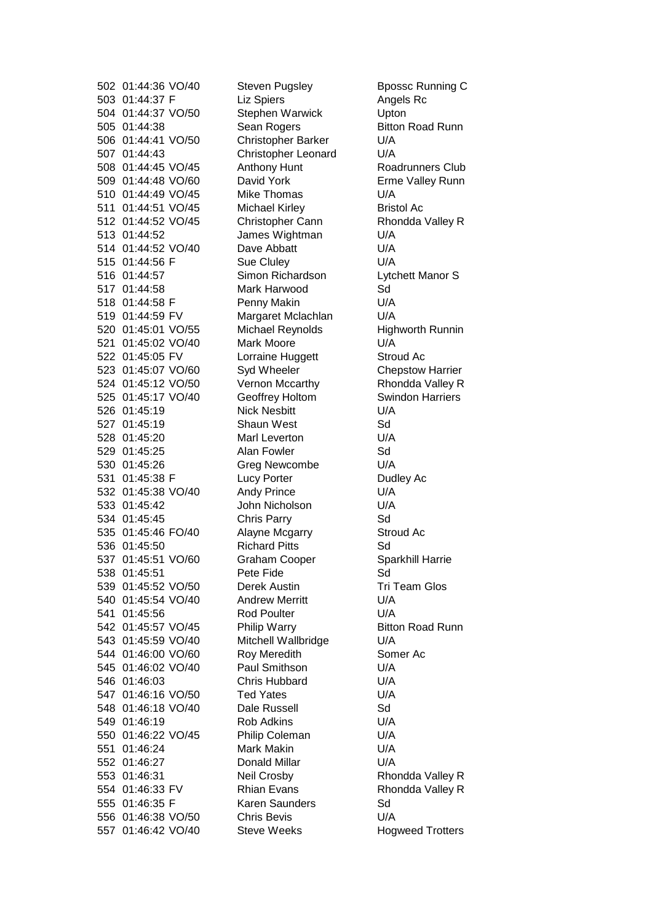502 01:44:36 VO/40 Steven Pugsley Bpossc Running C 503 01:44:37 F Liz Spiers Angels Rc 504 01:44:37 VO/50 Stephen Warwick Upton 505 01:44:38 Sean Rogers Bitton Road Runn 506 01:44:41 VO/50 Christopher Barker U/A 507 01:44:43 Christopher Leonard U/A 508 01:44:45 VO/45 Anthony Hunt Roadrunners Club 509 01:44:48 VO/60 David York Erme Valley Runn 510 01:44:49 VO/45 Mike Thomas U/A 511 01:44:51 VO/45 Michael Kirley Bristol Ac 512 01:44:52 VO/45 Christopher Cann Rhondda Valley R 513 01:44:52 James Wightman U/A 514 01:44:52 VO/40 Dave Abbatt U/A 515 01:44:56 F Sue Cluley U/A 516 01:44:57 Simon Richardson Lytchett Manor S 517 01:44:58 Mark Harwood Sd 518 01:44:58 F Penny Makin U/A 519 01:44:59 FV Margaret Mclachlan U/A 520 01:45:01 VO/55 Michael Reynolds Highworth Runnin 521 01:45:02 VO/40 Mark Moore U/A 522 01:45:05 FV Lorraine Huggett Stroud Ac 523 01:45:07 VO/60 Syd Wheeler Chepstow Harrier 524 01:45:12 VO/50 Vernon Mccarthy Rhondda Valley R 525 01:45:17 VO/40 Geoffrey Holtom Swindon Harriers 526 01:45:19 Nick Nesbitt U/A 527 01:45:19 Shaun West Sd 528 01:45:20 Marl Leverton U/A 529 01:45:25 Alan Fowler Sd 530 01:45:26 Greg Newcombe U/A 531 01:45:38 F Lucy Porter Dudley Ac 532 01:45:38 VO/40 Andy Prince U/A 533 01:45:42 John Nicholson U/A 534 01:45:45 Chris Parry Sd 535 01:45:46 FO/40 Alayne Mcgarry Stroud Ac 536 01:45:50 Richard Pitts Sd 537 01:45:51 VO/60 Graham Cooper Sparkhill Harrie 538 01:45:51 Pete Fide Sd 539 01:45:52 VO/50 Derek Austin Tri Team Glos 540 01:45:54 VO/40 Andrew Merritt U/A 541 01:45:56 Rod Poulter U/A 542 01:45:57 VO/45 Philip Warry Bitton Road Runn 543 01:45:59 VO/40 Mitchell Wallbridge U/A 544 01:46:00 VO/60 Roy Meredith Somer Ac 545 01:46:02 VO/40 Paul Smithson U/A 546 01:46:03 Chris Hubbard U/A 547 01:46:16 VO/50 Ted Yates U/A 548 01:46:18 VO/40 Dale Russell Sd 549 01:46:19 Rob Adkins U/A 550 01:46:22 VO/45 Philip Coleman U/A 551 01:46:24 Mark Makin U/A 552 01:46:27 Donald Millar U/A 553 01:46:31 Neil Crosby Rhondda Valley R 554 01:46:33 FV Rhian Evans Rhondda Valley R 555 01:46:35 F Karen Saunders Sd 556 01:46:38 VO/50 Chris Bevis U/A 557 01:46:42 VO/40 Steve Weeks Hogweed Trotters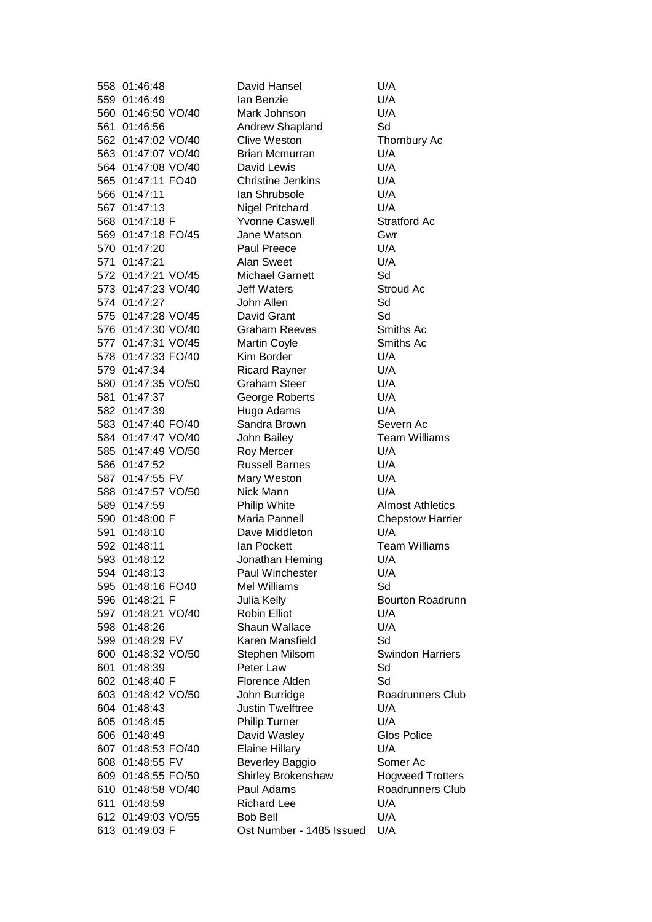558 01:46:48 David Hansel U/A 559 01:46:49 Ian Benzie U/A 560 01:46:50 VO/40 Mark Johnson U/A 561 01:46:56 Andrew Shapland Sd 562 01:47:02 VO/40 Clive Weston Thornbury Ac 563 01:47:07 VO/40 Brian Mcmurran U/A 564 01:47:08 VO/40 David Lewis U/A 565 01:47:11 FO40 Christine Jenkins U/A 566 01:47:11 Ian Shrubsole U/A 567 01:47:13 Nigel Pritchard U/A 568 01:47:18 F Yvonne Caswell Stratford Ac 569 01:47:18 FO/45 Jane Watson Gwr 570 01:47:20 Paul Preece U/A 571 01:47:21 Alan Sweet U/A 572 01:47:21 VO/45 Michael Garnett Sd 573 01:47:23 VO/40 Jeff Waters Stroud Ac 574 01:47:27 John Allen Sd 575 01:47:28 VO/45 David Grant Sd 576 01:47:30 VO/40 Graham Reeves Smiths Ac 577 01:47:31 VO/45 Martin Coyle Smiths Ac 578 01:47:33 FO/40 Kim Border U/A 579 01:47:34 Ricard Rayner U/A 580 01:47:35 VO/50 Graham Steer U/A 581 01:47:37 George Roberts U/A 582 01:47:39 Hugo Adams U/A 583 01:47:40 FO/40 Sandra Brown Severn Ac 584 01:47:47 VO/40 John Bailey Team Williams 585 01:47:49 VO/50 Roy Mercer U/A 586 01:47:52 Russell Barnes U/A 587 01:47:55 FV Mary Weston U/A 588 01:47:57 VO/50 Nick Mann U/A 589 01:47:59 Philip White Almost Athletics 590 01:48:00 F Maria Pannell Chepstow Harrier 591 01:48:10 Dave Middleton U/A 592 01:48:11 Ian Pockett Team Williams 593 01:48:12 Jonathan Heming U/A 594 01:48:13 Paul Winchester U/A 595 01:48:16 FO40 Mel Williams Sd 596 01:48:21 F Julia Kelly Bourton Roadrunn 597 01:48:21 VO/40 Robin Elliot U/A 598 01:48:26 Shaun Wallace U/A 599 01:48:29 FV Karen Mansfield Sd 600 01:48:32 VO/50 Stephen Milsom Swindon Harriers 601 01:48:39 Peter Law Sd 602 01:48:40 F Florence Alden Sd 603 01:48:42 VO/50 John Burridge Roadrunners Club 604 01:48:43 Justin Twelftree U/A 605 01:48:45 Philip Turner U/A 606 01:48:49 David Wasley Glos Police 607 01:48:53 FO/40 Elaine Hillary U/A 608 01:48:55 FV Beverley Baggio Somer Ac 609 01:48:55 FO/50 Shirley Brokenshaw Hogweed Trotters 610 01:48:58 VO/40 Paul Adams Roadrunners Club 611 01:48:59 Richard Lee U/A 612 01:49:03 VO/55 Bob Bell U/A 613 01:49:03 F Ost Number - 1485 Issued U/A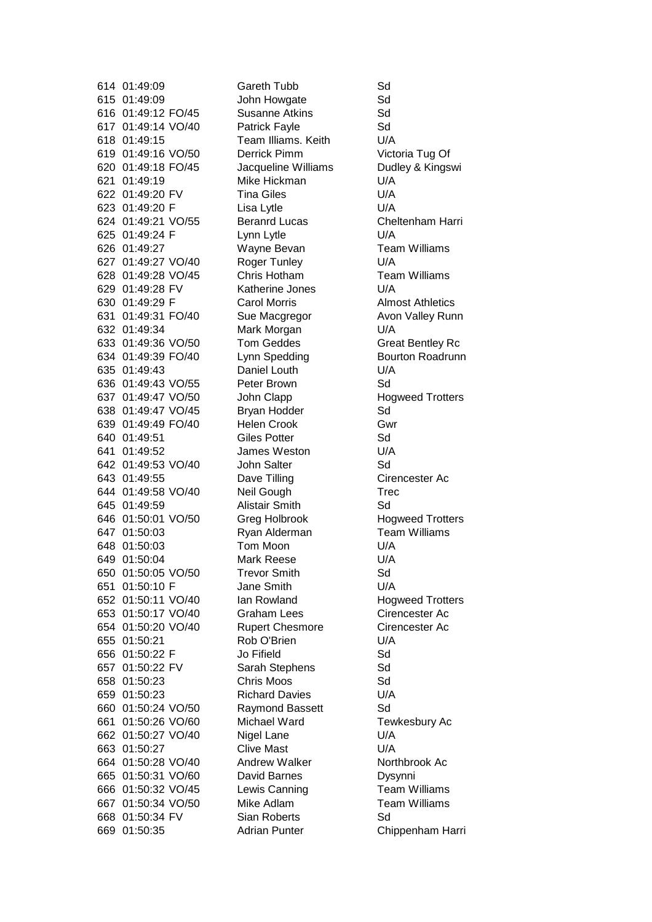614 01:49:09 Gareth Tubb Sd 615 01:49:09 John Howgate Sd 616 01:49:12 FO/45 Susanne Atkins Sd 617 01:49:14 VO/40 Patrick Fayle Sd 618 01:49:15 Team Illiams. Keith U/A 619 01:49:16 VO/50 Derrick Pimm Victoria Tug Of 620 01:49:18 FO/45 Jacqueline Williams Dudley & Kingswi 621 01:49:19 Mike Hickman U/A 622 01:49:20 FV Tina Giles U/A 623 01:49:20 F Lisa Lytle U/A 624 01:49:21 VO/55 Beranrd Lucas Cheltenham Harri 625 01:49:24 F Lynn Lytle U/A 626 01:49:27 Wayne Bevan Team Williams 627 01:49:27 VO/40 Roger Tunley U/A 628 01:49:28 VO/45 Chris Hotham Team Williams 629 01:49:28 FV Katherine Jones U/A 630 01:49:29 F Carol Morris Almost Athletics 631 01:49:31 FO/40 Sue Macgregor Avon Valley Runn 632 01:49:34 Mark Morgan U/A 633 01:49:36 VO/50 Tom Geddes Great Bentley Rc 634 01:49:39 FO/40 Lynn Spedding Bourton Roadrunn 635 01:49:43 Daniel Louth U/A 636 01:49:43 VO/55 Peter Brown Sd 637 01:49:47 VO/50 John Clapp Hogweed Trotters 638 01:49:47 VO/45 Bryan Hodder Sd 639 01:49:49 FO/40 Helen Crook Gwr 640 01:49:51 Giles Potter Sd 641 01:49:52 James Weston U/A 642 01:49:53 VO/40 John Salter Sd 643 01:49:55 Dave Tilling Cirencester Ac 644 01:49:58 VO/40 Neil Gough Trec 645 01:49:59 Alistair Smith Sd 646 01:50:01 VO/50 Greg Holbrook Hogweed Trotters 647 01:50:03 Ryan Alderman Team Williams 648 01:50:03 Tom Moon U/A 649 01:50:04 Mark Reese U/A 650 01:50:05 VO/50 Trevor Smith Sd 651 01:50:10 F Jane Smith U/A 652 01:50:11 VO/40 Ian Rowland Hogweed Trotters 653 01:50:17 VO/40 Graham Lees Cirencester Ac 654 01:50:20 VO/40 Rupert Chesmore Cirencester Ac 655 01:50:21 Rob O'Brien U/A 656 01:50:22 F Jo Fifield Sd 657 01:50:22 FV Sarah Stephens Sd 658 01:50:23 Chris Moos Sd 659 01:50:23 Richard Davies U/A 660 01:50:24 VO/50 Raymond Bassett Sd 661 01:50:26 VO/60 Michael Ward Tewkesbury Ac 662 01:50:27 VO/40 Nigel Lane U/A 663 01:50:27 Clive Mast U/A 664 01:50:28 VO/40 Andrew Walker Northbrook Ac 665 01:50:31 VO/60 David Barnes Dysynni 666 01:50:32 VO/45 Lewis Canning Team Williams 667 01:50:34 VO/50 Mike Adlam Team Williams 668 01:50:34 FV Sian Roberts Sd 669 01:50:35 Adrian Punter Chippenham Harri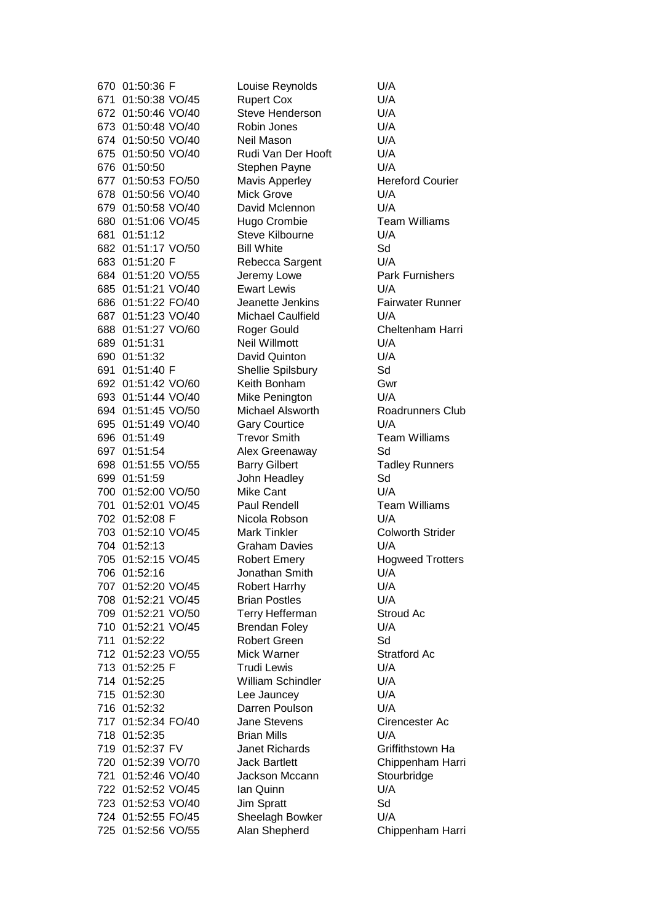670 01:50:36 F Louise Reynolds U/A 671 01:50:38 VO/45 Rupert Cox U/A 672 01:50:46 VO/40 Steve Henderson U/A 673 01:50:48 VO/40 Robin Jones U/A 674 01:50:50 VO/40 Neil Mason U/A 675 01:50:50 VO/40 Rudi Van Der Hooft U/A 676 01:50:50 Stephen Payne U/A 677 01:50:53 FO/50 Mavis Apperley Hereford Courier 678 01:50:56 VO/40 Mick Grove U/A 679 01:50:58 VO/40 David Mclennon U/A 680 01:51:06 VO/45 Hugo Crombie Team Williams 681 01:51:12 Steve Kilbourne U/A 682 01:51:17 VO/50 Bill White Sd 683 01:51:20 F Rebecca Sargent U/A 684 01:51:20 VO/55 Jeremy Lowe Park Furnishers 685 01:51:21 VO/40 Ewart Lewis U/A 686 01:51:22 FO/40 Jeanette Jenkins Fairwater Runner 687 01:51:23 VO/40 Michael Caulfield U/A 688 01:51:27 VO/60 Roger Gould Cheltenham Harri 689 01:51:31 Neil Willmott U/A 690 01:51:32 David Quinton U/A 691 01:51:40 F Shellie Spilsbury Sd 692 01:51:42 VO/60 Keith Bonham Gwr 693 01:51:44 VO/40 Mike Penington U/A 694 01:51:45 VO/50 Michael Alsworth Roadrunners Club 695 01:51:49 VO/40 Gary Courtice U/A 696 01:51:49 Trevor Smith Team Williams 697 01:51:54 Alex Greenaway Sd 698 01:51:55 VO/55 Barry Gilbert Tadley Runners 699 01:51:59 John Headley Sd 700 01:52:00 VO/50 Mike Cant U/A 701 01:52:01 VO/45 Paul Rendell Team Williams 702 01:52:08 F Nicola Robson U/A 703 01:52:10 VO/45 Mark Tinkler Colworth Strider 704 01:52:13 Graham Davies U/A 705 01:52:15 VO/45 Robert Emery Hogweed Trotters 706 01:52:16 Jonathan Smith U/A 707 01:52:20 VO/45 Robert Harrhy U/A 708 01:52:21 VO/45 Brian Postles U/A 709 01:52:21 VO/50 Terry Hefferman Stroud Ac 710 01:52:21 VO/45 Brendan Foley U/A 711 01:52:22 Robert Green Sd 712 01:52:23 VO/55 Mick Warner Stratford Ac 713 01:52:25 F Trudi Lewis U/A 714 01:52:25 William Schindler U/A 715 01:52:30 Lee Jauncey U/A 716 01:52:32 Darren Poulson U/A 717 01:52:34 FO/40 Jane Stevens Cirencester Ac 718 01:52:35 Brian Mills U/A 719 01:52:37 FV Janet Richards Griffithstown Ha 720 01:52:39 VO/70 Jack Bartlett Chippenham Harri 721 01:52:46 VO/40 Jackson Mccann Stourbridge 722 01:52:52 VO/45 Ian Quinn U/A 723 01:52:53 VO/40 Jim Spratt Sd 724 01:52:55 FO/45 Sheelagh Bowker U/A 725 01:52:56 VO/55 Alan Shepherd Chippenham Harri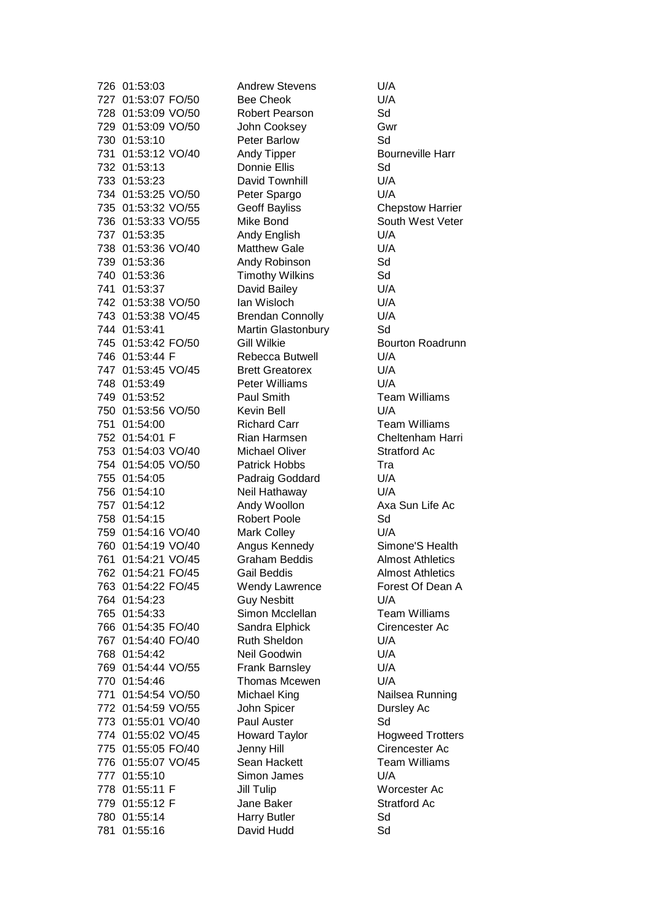726 01:53:03 Andrew Stevens U/A 727 01:53:07 FO/50 Bee Cheok U/A 728 01:53:09 VO/50 Robert Pearson Sd 729 01:53:09 VO/50 John Cooksey Gwr 730 01:53:10 Peter Barlow Sd 731 01:53:12 VO/40 Andy Tipper Bourneville Harr 732 01:53:13 Donnie Ellis Sd 733 01:53:23 David Townhill U/A 734 01:53:25 VO/50 Peter Spargo U/A 735 01:53:32 VO/55 Geoff Bayliss Chepstow Harrier 736 01:53:33 VO/55 Mike Bond South West Veter 737 01:53:35 Andy English U/A 738 01:53:36 VO/40 Matthew Gale U/A 739 01:53:36 Andy Robinson Sd 740 01:53:36 Timothy Wilkins Sd 741 01:53:37 David Bailey U/A 742 01:53:38 VO/50 Ian Wisloch U/A 743 01:53:38 VO/45 Brendan Connolly U/A 744 01:53:41 Martin Glastonbury Sd 745 01:53:42 FO/50 Gill Wilkie Bourton Roadrunn 746 01:53:44 F Rebecca Butwell U/A 747 01:53:45 VO/45 Brett Greatorex U/A 748 01:53:49 Peter Williams U/A 749 01:53:52 Paul Smith Team Williams 750 01:53:56 VO/50 Kevin Bell U/A 751 01:54:00 Richard Carr Team Williams 752 01:54:01 F Rian Harmsen Cheltenham Harri 753 01:54:03 VO/40 Michael Oliver Stratford Ac 754 01:54:05 VO/50 Patrick Hobbs Tra 755 01:54:05 Padraig Goddard U/A 756 01:54:10 Neil Hathaway U/A 757 01:54:12 Andy Woollon Axa Sun Life Ac 758 01:54:15 Robert Poole Sd 759 01:54:16 VO/40 Mark Colley U/A 760 01:54:19 VO/40 Angus Kennedy Simone'S Health 761 01:54:21 VO/45 Graham Beddis Almost Athletics 762 01:54:21 FO/45 Gail Beddis Almost Athletics 763 01:54:22 FO/45 Wendy Lawrence Forest Of Dean A 764 01:54:23 Guy Nesbitt U/A 765 01:54:33 Simon Mcclellan Team Williams 766 01:54:35 FO/40 Sandra Elphick Cirencester Ac 767 01:54:40 FO/40 Ruth Sheldon U/A 768 01:54:42 Neil Goodwin U/A 769 01:54:44 VO/55 Frank Barnsley U/A 770 01:54:46 Thomas Mcewen U/A 771 01:54:54 VO/50 Michael King Nailsea Running 772 01:54:59 VO/55 John Spicer Dursley Ac 773 01:55:01 VO/40 Paul Auster Sd 774 01:55:02 VO/45 Howard Taylor Hogweed Trotters 775 01:55:05 FO/40 Jenny Hill Cirencester Ac 776 01:55:07 VO/45 Sean Hackett Team Williams 777 01:55:10 Simon James U/A 778 01:55:11 F Jill Tulip Worcester Ac 779 01:55:12 F Jane Baker Stratford Ac 780 01:55:14 Harry Butler Sd 781 01:55:16 David Hudd Sd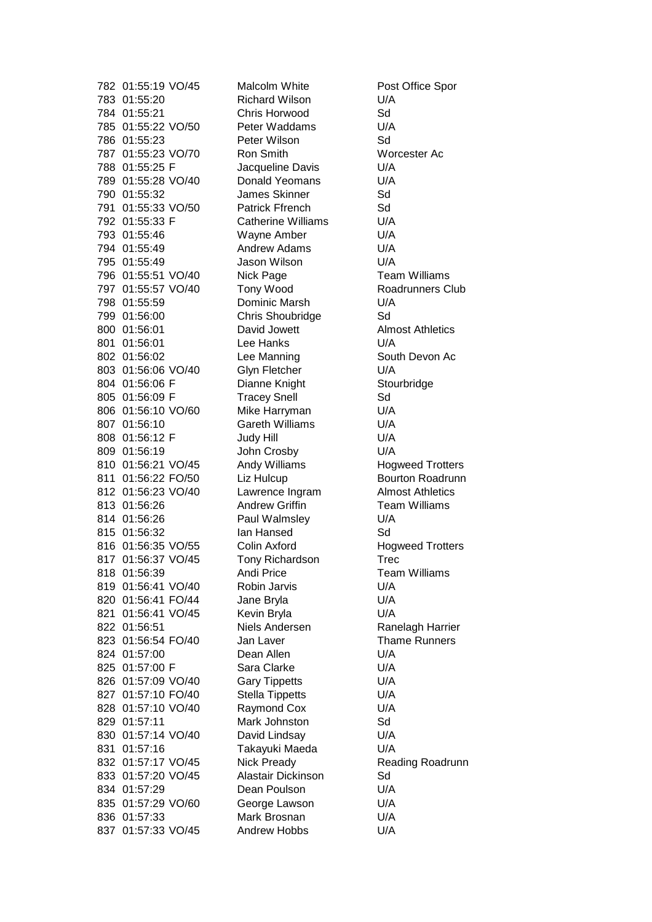782 01:55:19 VO/45 Malcolm White Post Office Spor 783 01:55:20 Richard Wilson U/A 784 01:55:21 Chris Horwood Sd 785 01:55:22 VO/50 Peter Waddams U/A 786 01:55:23 Peter Wilson Sd 787 01:55:23 VO/70 Ron Smith Worcester Ac 788 01:55:25 F Jacqueline Davis U/A 789 01:55:28 VO/40 Donald Yeomans U/A 790 01:55:32 James Skinner Sd 791 01:55:33 VO/50 Patrick Ffrench Sd 792 01:55:33 F Catherine Williams U/A 793 01:55:46 Wayne Amber U/A 794 01:55:49 Andrew Adams U/A 795 01:55:49 Jason Wilson U/A 796 01:55:51 VO/40 Nick Page Team Williams 797 01:55:57 VO/40 Tony Wood Roadrunners Club 798 01:55:59 Dominic Marsh U/A 799 01:56:00 Chris Shoubridge Sd 800 01:56:01 David Jowett Almost Athletics 801 01:56:01 Lee Hanks U/A 802 01:56:02 Lee Manning South Devon Ac 803 01:56:06 VO/40 Glyn Fletcher U/A 804 01:56:06 F Dianne Knight Stourbridge 805 01:56:09 F Tracey Snell Sd 806 01:56:10 VO/60 Mike Harryman U/A 807 01:56:10 Gareth Williams U/A 808 01:56:12 F Judy Hill V/A 809 01:56:19 John Crosby U/A 810 01:56:21 VO/45 Andy Williams Hogweed Trotters 811 01:56:22 FO/50 Liz Hulcup Bourton Roadrunn 812 01:56:23 VO/40 Lawrence Ingram Almost Athletics 813 01:56:26 Andrew Griffin Team Williams 814 01:56:26 Paul Walmsley U/A 815 01:56:32 Ian Hansed Sd 816 01:56:35 VO/55 Colin Axford Hogweed Trotters 817 01:56:37 VO/45 Tony Richardson Trec 818 01:56:39 Andi Price Team Williams 819 01:56:41 VO/40 Robin Jarvis U/A 820 01:56:41 FO/44 Jane Bryla U/A 821 01:56:41 VO/45 Kevin Bryla U/A 822 01:56:51 Niels Andersen Ranelagh Harrier 823 01:56:54 FO/40 Jan Laver Jan Thame Runners 824 01:57:00 Dean Allen U/A 825 01:57:00 F Sara Clarke U/A 826 01:57:09 VO/40 Gary Tippetts U/A 827 01:57:10 FO/40 Stella Tippetts U/A 828 01:57:10 VO/40 Raymond Cox U/A 829 01:57:11 Mark Johnston Sd 830 01:57:14 VO/40 David Lindsay U/A 831 01:57:16 Takayuki Maeda U/A 832 01:57:17 VO/45 Nick Pready Reading Roadrunn 833 01:57:20 VO/45 Alastair Dickinson Sd 834 01:57:29 Dean Poulson U/A 835 01:57:29 VO/60 George Lawson U/A 836 01:57:33 Mark Brosnan U/A 837 01:57:33 VO/45 Andrew Hobbs U/A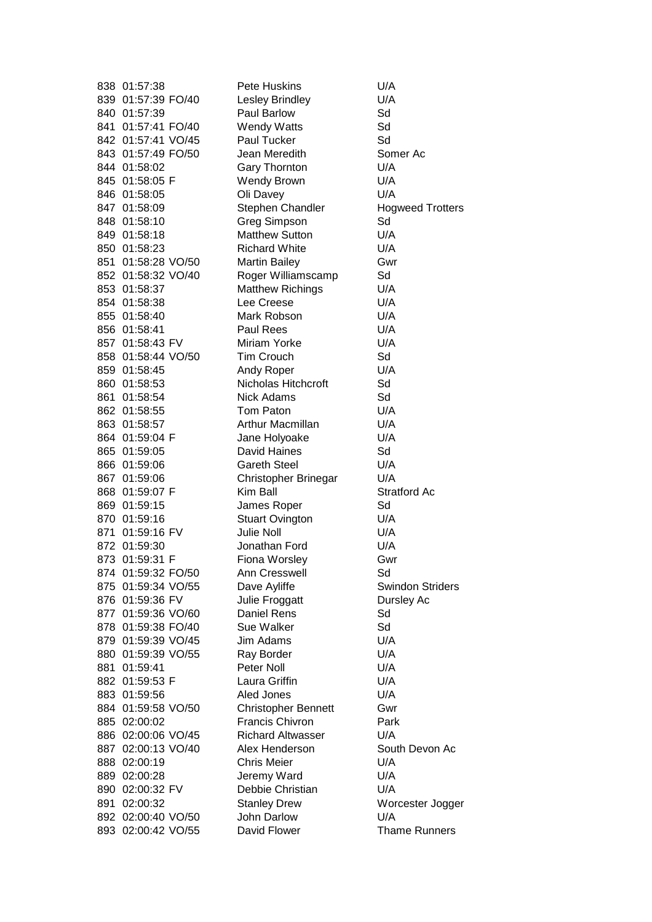| 838 01:57:38                    | Pete Huskins                       | U/A                     |
|---------------------------------|------------------------------------|-------------------------|
| 839 01:57:39 FO/40              | Lesley Brindley                    | U/A                     |
| 840 01:57:39                    | Paul Barlow                        | Sd                      |
| 841 01:57:41 FO/40              | <b>Wendy Watts</b>                 | Sd                      |
| 842 01:57:41 VO/45              | <b>Paul Tucker</b>                 | Sd                      |
| 843 01:57:49 FO/50              | Jean Meredith                      | Somer Ac                |
| 844 01:58:02                    | Gary Thornton                      | U/A                     |
| 845 01:58:05 F                  | <b>Wendy Brown</b>                 | U/A                     |
| 846 01:58:05                    | Oli Davey                          | U/A                     |
| 847 01:58:09                    | Stephen Chandler                   | <b>Hogweed Trotters</b> |
| 848 01:58:10                    | <b>Greg Simpson</b>                | Sd                      |
| 849 01:58:18                    | <b>Matthew Sutton</b>              | U/A                     |
| 850 01:58:23                    | <b>Richard White</b>               | U/A                     |
| 851 01:58:28 VO/50              | <b>Martin Bailey</b>               | Gwr                     |
| 852 01:58:32 VO/40              | Roger Williamscamp                 | Sd                      |
| 853 01:58:37                    | <b>Matthew Richings</b>            | U/A                     |
| 854 01:58:38                    | Lee Creese                         | U/A                     |
| 855 01:58:40                    | Mark Robson                        | U/A                     |
| 856 01:58:41                    | <b>Paul Rees</b>                   | U/A                     |
| 857 01:58:43 FV                 | Miriam Yorke                       | U/A                     |
| 858 01:58:44 VO/50              | <b>Tim Crouch</b>                  | Sd                      |
| 859 01:58:45                    | Andy Roper                         | U/A                     |
| 860 01:58:53                    | Nicholas Hitchcroft                | Sd                      |
| 861 01:58:54                    | <b>Nick Adams</b>                  | Sd                      |
| 862 01:58:55                    | Tom Paton                          | U/A                     |
| 863 01:58:57                    | Arthur Macmillan                   | U/A                     |
| 864 01:59:04 F                  | Jane Holyoake                      | U/A                     |
| 865 01:59:05                    | David Haines                       | Sd                      |
| 866 01:59:06                    | <b>Gareth Steel</b>                | U/A                     |
| 867 01:59:06                    | Christopher Brinegar               | U/A                     |
| 868 01:59:07 F                  | Kim Ball                           | Stratford Ac            |
| 869 01:59:15                    | James Roper                        | Sd                      |
| 870 01:59:16                    | <b>Stuart Ovington</b>             | U/A                     |
| 871 01:59:16 FV                 | Julie Noll                         | U/A                     |
| 872 01:59:30                    | Jonathan Ford                      | U/A                     |
| 873 01:59:31 F                  | Fiona Worsley                      | Gwr                     |
| 874 01:59:32 FO/50              | Ann Cresswell                      | Sd                      |
| 875 01:59:34 VO/55              | Dave Ayliffe                       | <b>Swindon Striders</b> |
| 876 01:59:36 FV                 | Julie Froggatt                     | Dursley Ac              |
| 877 01:59:36 VO/60              | <b>Daniel Rens</b>                 | Sd                      |
| 878 01:59:38 FO/40              | Sue Walker                         | Sd                      |
| 879 01:59:39 VO/45              | Jim Adams                          | U/A                     |
| 880 01:59:39 VO/55              | Ray Border                         | U/A                     |
| 881 01:59:41                    | Peter Noll                         | U/A                     |
| 882 01:59:53 F                  | Laura Griffin                      | U/A                     |
| 883 01:59:56                    | Aled Jones                         | U/A                     |
| 884 01:59:58 VO/50              | <b>Christopher Bennett</b>         | Gwr                     |
| 885 02:00:02                    | Francis Chivron                    | Park                    |
| 886 02:00:06 VO/45              | <b>Richard Altwasser</b>           | U/A                     |
| 887 02:00:13 VO/40              | Alex Henderson                     | South Devon Ac          |
| 888 02:00:19                    | <b>Chris Meier</b>                 | U/A                     |
|                                 |                                    | U/A                     |
| 889 02:00:28                    | Jeremy Ward<br>Debbie Christian    | U/A                     |
| 890 02:00:32 FV<br>891 02:00:32 |                                    |                         |
| 892 02:00:40 VO/50              | <b>Stanley Drew</b><br>John Darlow | Worcester Jogger<br>U/A |
|                                 |                                    |                         |
| 893 02:00:42 VO/55              | David Flower                       | <b>Thame Runners</b>    |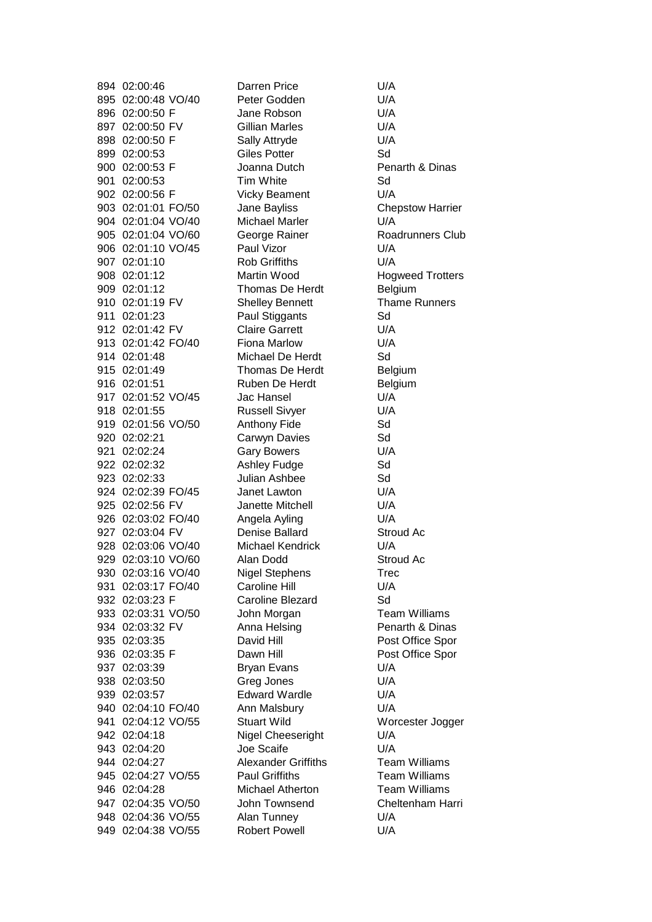895 02:00:48 VO/40 Peter Godden U/A 896 02:00:50 F Jane Robson U/A 897 02:00:50 FV Gillian Marles U/A 898 02:00:50 F Sally Attryde U/A 899 02:00:53 Giles Potter Sd 900 02:00:53 F Joanna Dutch Penarth & Dinas 901 02:00:53 Tim White Sd 902 02:00:56 F Vicky Beament U/A 903 02:01:01 FO/50 Jane Bayliss Chepstow Harrier 904 02:01:04 VO/40 Michael Marler U/A 905 02:01:04 VO/60 George Rainer Conditioners Club 906 02:01:10 VO/45 Paul Vizor U/A 907 02:01:10 Rob Griffiths U/A 908 02:01:12 Martin Wood Hogweed Trotters 909 02:01:12 Thomas De Herdt Belgium 910 02:01:19 FV Shelley Bennett Thame Runners 911 02:01:23 Paul Stiggants Sd 912 02:01:42 FV Claire Garrett U/A 913 02:01:42 FO/40 Fiona Marlow U/A 914 02:01:48 Michael De Herdt Sd 915 02:01:49 Thomas De Herdt Belgium 916 02:01:51 Ruben De Herdt Belgium 917 02:01:52 VO/45 Jac Hansel U/A 918 02:01:55 Russell Sivyer U/A 919 02:01:56 VO/50 Anthony Fide Sd 920 02:02:21 Carwyn Davies Sd 921 02:02:24 Gary Bowers U/A 922 02:02:32 Ashley Fudge Sd 923 02:02:33 Julian Ashbee Sd 924 02:02:39 FO/45 Janet Lawton U/A 925 02:02:56 FV Janette Mitchell U/A 926 02:03:02 FO/40 Angela Ayling U/A 927 02:03:04 FV Denise Ballard Stroud Ac 928 02:03:06 VO/40 Michael Kendrick U/A 929 02:03:10 VO/60 Alan Dodd Stroud Ac 930 02:03:16 VO/40 Nigel Stephens Trec 931 02:03:17 FO/40 Caroline Hill U/A 932 02:03:23 F Caroline Blezard Sd 933 02:03:31 VO/50 John Morgan John Team Williams 934 02:03:32 FV Anna Helsing Penarth & Dinas 935 02:03:35 David Hill Post Office Spor 936 02:03:35 F Dawn Hill Post Office Spor 937 02:03:39 Bryan Evans U/A 938 02:03:50 Greg Jones U/A 939 02:03:57 Edward Wardle U/A 940 02:04:10 FO/40 Ann Malsbury U/A 941 02:04:12 VO/55 Stuart Wild Worcester Jogger 942 02:04:18 Nigel Cheeseright U/A 943 02:04:20 Joe Scaife U/A 944 02:04:27 Alexander Griffiths Team Williams 945 02:04:27 VO/55 Paul Griffiths Team Williams 946 02:04:28 Michael Atherton Team Williams 947 02:04:35 VO/50 John Townsend Cheltenham Harri 948 02:04:36 VO/55 Alan Tunney U/A 949 02:04:38 VO/55 Robert Powell U/A

894 02:00:46 Darren Price U/A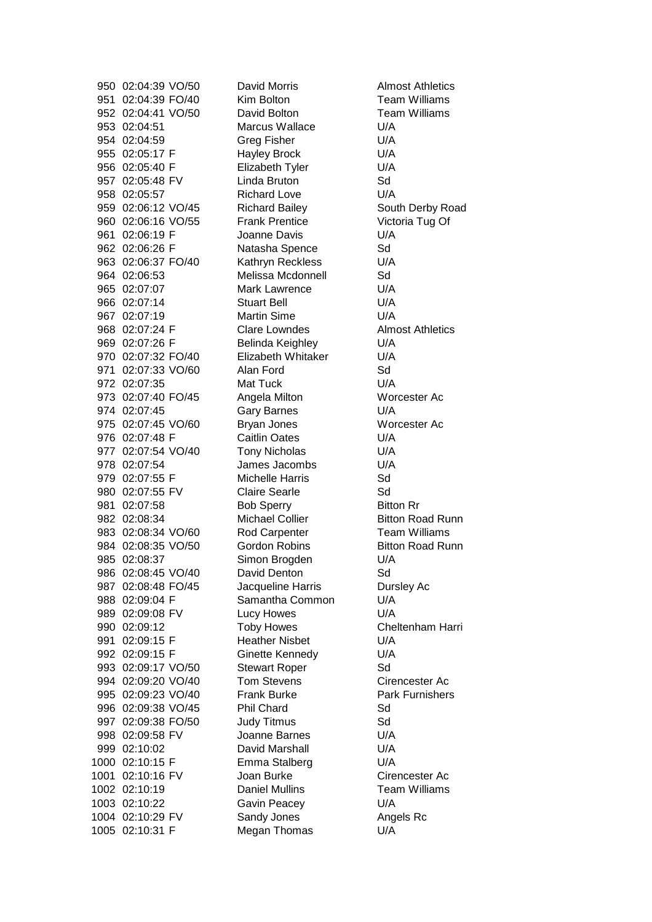951 02:04:39 FO/40 Kim Bolton Kim Bolton Team Williams<br>952 02:04:41 VO/50 David Bolton Team Williams 952 02:04:41 VO/50 David Bolton 953 02:04:51 Marcus Wallace U/A 954 02:04:59 Greg Fisher U/A 955 02:05:17 F Hayley Brock U/A 956 02:05:40 F Elizabeth Tyler U/A 957 02:05:48 FV Linda Bruton Sd 958 02:05:57 Richard Love U/A 959 02:06:12 VO/45 Richard Bailey South Derby Road 960 02:06:16 VO/55 Frank Prentice Victoria Tug Of 961 02:06:19 F Joanne Davis U/A 962 02:06:26 F Natasha Spence Sd 963 02:06:37 FO/40 Kathryn Reckless U/A 964 02:06:53 Melissa Mcdonnell Sd 965 02:07:07 Mark Lawrence U/A 966 02:07:14 Stuart Bell U/A 967 02:07:19 Martin Sime U/A 968 02:07:24 F Clare Lowndes Almost Athletics 969 02:07:26 F Belinda Keighley U/A 970 02:07:32 FO/40 Elizabeth Whitaker U/A 971 02:07:33 VO/60 Alan Ford Sd 972 02:07:35 Mat Tuck U/A 973 02:07:40 FO/45 Angela Milton Worcester Ac 974 02:07:45 Gary Barnes U/A 975 02:07:45 VO/60 Bryan Jones Worcester Ac 976 02:07:48 F Caitlin Oates U/A 977 02:07:54 VO/40 Tony Nicholas U/A 978 02:07:54 James Jacombs U/A 979 02:07:55 F Michelle Harris Sd 980 02:07:55 FV Claire Searle Sol 981 02:07:58 Bob Sperry Bitton Rr 982 02:08:34 Michael Collier Bitton Road Runn 983 02:08:34 VO/60 Rod Carpenter Team Williams 984 02:08:35 VO/50 Gordon Robins Bitton Road Runn 985 02:08:37 Simon Brogden U/A 986 02:08:45 VO/40 David Denton Sd 987 02:08:48 FO/45 Jacqueline Harris Dursley Ac 988 02:09:04 F Samantha Common U/A 989 02:09:08 FV Lucy Howes U/A 990 02:09:12 Toby Howes Cheltenham Harri 991 02:09:15 F Heather Nisbet U/A 992 02:09:15 F Ginette Kennedy U/A 993 02:09:17 VO/50 Stewart Roper Sd 994 02:09:20 VO/40 Tom Stevens Cirencester Ac 995 02:09:23 VO/40 Frank Burke Park Furnishers 996 02:09:38 VO/45 Phil Chard Sd 997 02:09:38 FO/50 Judy Titmus Sd 998 02:09:58 FV Joanne Barnes U/A 999 02:10:02 David Marshall U/A 1000 02:10:15 F Emma Stalberg U/A 1001 02:10:16 FV Joan Burke Cirencester Ac 1002 02:10:19 Daniel Mullins Team Williams 1003 02:10:22 Gavin Peacey U/A 1004 02:10:29 FV Sandy Jones Angels Rc 1005 02:10:31 F Megan Thomas U/A

950 02:04:39 VO/50 David Morris Almost Athletics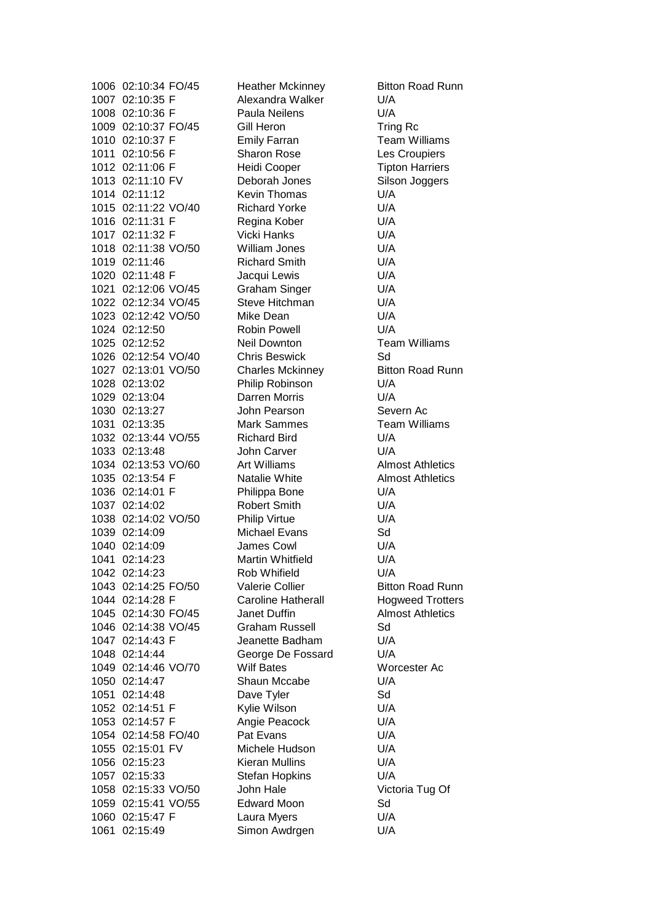1007 02:10:35 F Alexandra Walker U/A 1008 02:10:36 F Paula Neilens U/A 1009 02:10:37 FO/45 Gill Heron Tring Rc 1010 02:10:37 F Emily Farran Team Williams 1011 02:10:56 F Sharon Rose Les Croupiers 1012 02:11:06 F Heidi Cooper Tipton Harriers 1013 02:11:10 FV Deborah Jones Silson Joggers 1014 02:11:12 Kevin Thomas U/A 1015 02:11:22 VO/40 Richard Yorke U/A 1016 02:11:31 F Regina Kober U/A 1017 02:11:32 F Vicki Hanks U/A 1018 02:11:38 VO/50 William Jones U/A 1019 02:11:46 Richard Smith U/A 1020 02:11:48 F Jacqui Lewis U/A 1021 02:12:06 VO/45 Graham Singer U/A 1022 02:12:34 VO/45 Steve Hitchman U/A 1023 02:12:42 VO/50 Mike Dean U/A 1024 02:12:50 Robin Powell U/A 1025 02:12:52 Neil Downton Team Williams 1026 02:12:54 VO/40 Chris Beswick Sd 1027 02:13:01 VO/50 Charles Mckinney Bitton Road Runn 1028 02:13:02 Philip Robinson U/A 1029 02:13:04 Darren Morris U/A 1030 02:13:27 John Pearson Severn Ac 1031 02:13:35 Mark Sammes Team Williams 1032 02:13:44 VO/55 Richard Bird U/A 1033 02:13:48 John Carver U/A 1034 02:13:53 VO/60 Art Williams Almost Athletics 1035 02:13:54 F Natalie White Almost Athletics 1036 02:14:01 F Philippa Bone U/A 1037 02:14:02 Robert Smith U/A 1038 02:14:02 VO/50 Philip Virtue U/A 1039 02:14:09 Michael Evans Sd 1040 02:14:09 James Cowl U/A 1041 02:14:23 Martin Whitfield U/A 1042 02:14:23 Rob Whifield U/A 1043 02:14:25 FO/50 Valerie Collier Bitton Road Runn 1044 02:14:28 F Caroline Hatherall Hogweed Trotters 1045 02:14:30 FO/45 Janet Duffin Almost Athletics 1046 02:14:38 VO/45 Graham Russell Sd 1047 02:14:43 F Jeanette Badham U/A 1048 02:14:44 George De Fossard U/A 1049 02:14:46 VO/70 Wilf Bates Worcester Ac 1050 02:14:47 Shaun Mccabe U/A 1051 02:14:48 Dave Tyler Sd 1052 02:14:51 F Kylie Wilson U/A 1053 02:14:57 F Angie Peacock U/A 1054 02:14:58 FO/40 Pat Evans U/A 1055 02:15:01 FV Michele Hudson U/A 1056 02:15:23 Kieran Mullins U/A 1057 02:15:33 Stefan Hopkins U/A 1058 02:15:33 VO/50 John Hale Victoria Tug Of 1059 02:15:41 VO/55 Edward Moon Sd 1060 02:15:47 F Laura Myers U/A 1061 02:15:49 Simon Awdrgen U/A

1006 02:10:34 FO/45 Heather Mckinney Bitton Road Runn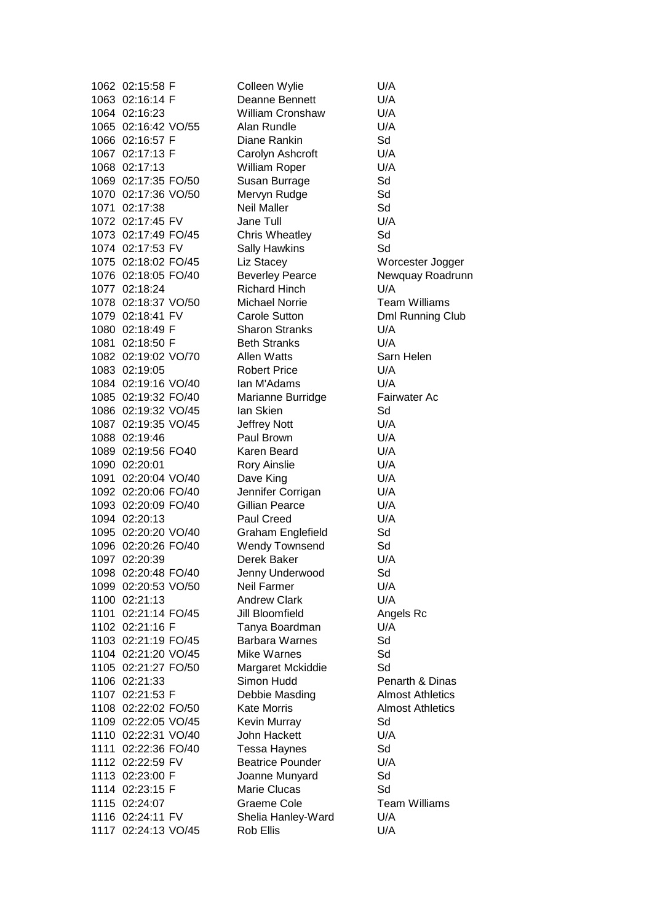1062 02:15:58 F Colleen Wylie U/A 1063 02:16:14 F Deanne Bennett U/A 1064 02:16:23 William Cronshaw U/A 1065 02:16:42 VO/55 Alan Rundle U/A 1066 02:16:57 F Diane Rankin Sd 1067 02:17:13 F Carolyn Ashcroft U/A 1068 02:17:13 William Roper U/A 1069 02:17:35 FO/50 Susan Burrage Sd 1070 02:17:36 VO/50 Mervyn Rudge Sd 1071 02:17:38 Neil Maller Sd 1072 02:17:45 FV Jane Tull U/A 1073 02:17:49 FO/45 Chris Wheatley Sd 1074 02:17:53 FV Sally Hawkins Sd 1075 02:18:02 FO/45 Liz Stacey Worcester Jogger 1076 02:18:05 FO/40 Beverley Pearce Newquay Roadrunn 1077 02:18:24 Richard Hinch U/A 1078 02:18:37 VO/50 Michael Norrie Team Williams 1079 02:18:41 FV Carole Sutton Dml Running Club 1080 02:18:49 F Sharon Stranks U/A 1081 02:18:50 F Beth Stranks U/A 1082 02:19:02 VO/70 Allen Watts Sarn Helen 1083 02:19:05 Robert Price U/A 1084 02:19:16 VO/40 Ian M'Adams U/A 1085 02:19:32 FO/40 Marianne Burridge Fairwater Ac 1086 02:19:32 VO/45 Ian Skien Sd 1087 02:19:35 VO/45 Jeffrey Nott U/A 1088 02:19:46 Paul Brown U/A 1089 02:19:56 FO40 Karen Beard U/A 1090 02:20:01 Rory Ainslie U/A 1091 02:20:04 VO/40 Dave King U/A 1092 02:20:06 FO/40 Jennifer Corrigan U/A 1093 02:20:09 FO/40 Gillian Pearce U/A 1094 02:20:13 Paul Creed U/A 1095 02:20:20 VO/40 Graham Englefield Sd 1096 02:20:26 FO/40 Wendy Townsend Sd 1097 02:20:39 Derek Baker U/A 1098 02:20:48 FO/40 Jenny Underwood Sd 1099 02:20:53 VO/50 Neil Farmer U/A 1100 02:21:13 Andrew Clark U/A 1101 02:21:14 FO/45 Jill Bloomfield Angels Rc 1102 02:21:16 F Tanya Boardman U/A 1103 02:21:19 FO/45 Barbara Warnes Sd 1104 02:21:20 VO/45 Mike Warnes Sd 1105 02:21:27 FO/50 Margaret Mckiddie Sd 1106 02:21:33 Simon Hudd Penarth & Dinas 1107 02:21:53 F Debbie Masding Almost Athletics 1108 02:22:02 FO/50 Kate Morris Almost Athletics 1109 02:22:05 VO/45 Kevin Murray Sd 1110 02:22:31 VO/40 John Hackett U/A 1111 02:22:36 FO/40 Tessa Haynes Sd 1112 02:22:59 FV Beatrice Pounder U/A 1113 02:23:00 F Joanne Munyard Sd 1114 02:23:15 F Marie Clucas Sd 1115 02:24:07 Graeme Cole Team Williams 1116 02:24:11 FV Shelia Hanley-Ward U/A 1117 02:24:13 VO/45 Rob Ellis U/A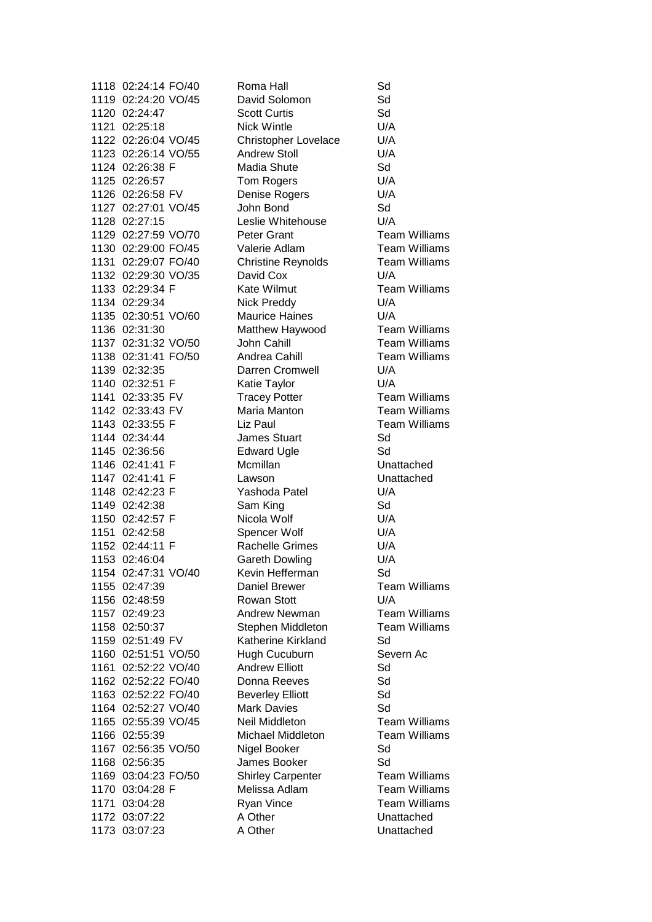1119 02:24:20 VO/45 David Solomon Sd 1120 02:24:47 Scott Curtis Sd 1121 02:25:18 Nick Wintle U/A 1122 02:26:04 VO/45 Christopher Lovelace U/A 1123 02:26:14 VO/55 Andrew Stoll U/A 1124 02:26:38 F Madia Shute Sd 1125 02:26:57 Tom Rogers U/A 1126 02:26:58 FV Denise Rogers U/A 1127 02:27:01 VO/45 John Bond Sd 1128 02:27:15 Leslie Whitehouse U/A 1129 02:27:59 VO/70 Peter Grant Team Williams 1130 02:29:00 FO/45 Valerie Adlam Team Williams 1131 02:29:07 FO/40 Christine Reynolds Team Williams 1132 02:29:30 VO/35 David Cox U/A 1133 02:29:34 F Kate Wilmut Team Williams 1134 02:29:34 Nick Preddy U/A 1135 02:30:51 VO/60 Maurice Haines U/A 1136 02:31:30 Matthew Haywood Team Williams 1137 02:31:32 VO/50 John Cahill Team Williams 1138 02:31:41 FO/50 Andrea Cahill Team Williams 1139 02:32:35 Darren Cromwell U/A 1140 02:32:51 F Katie Taylor U/A 1141 02:33:35 FV Tracey Potter Team Williams 1142 02:33:43 FV Maria Manton Team Williams 1143 02:33:55 F Liz Paul Team Williams 1144 02:34:44 James Stuart Sd 1145 02:36:56 Edward Ugle Sd 1146 02:41:41 F Mcmillan Unattached 1147 02:41:41 F Lawson Unattached 1148 02:42:23 F Yashoda Patel U/A 1149 02:42:38 Sam King Sd 1150 02:42:57 F Nicola Wolf U/A 1151 02:42:58 Spencer Wolf U/A 1152 02:44:11 F Rachelle Grimes U/A 1153 02:46:04 Gareth Dowling U/A 1154 02:47:31 VO/40 Kevin Hefferman Sd 1155 02:47:39 Daniel Brewer Team Williams 1156 02:48:59 Rowan Stott U/A 1157 02:49:23 Andrew Newman Team Williams 1158 02:50:37 Stephen Middleton Team Williams 1159 02:51:49 FV Katherine Kirkland Sd 1160 02:51:51 VO/50 Hugh Cucuburn Severn Ac 1161 02:52:22 VO/40 Andrew Elliott Sd 1162 02:52:22 FO/40 Donna Reeves Sd 1163 02:52:22 FO/40 Beverley Elliott Sd 1164 02:52:27 VO/40 Mark Davies Sd 1165 02:55:39 VO/45 Neil Middleton Team Williams 1166 02:55:39 Michael Middleton Team Williams 1167 02:56:35 VO/50 Nigel Booker Sd 1168 02:56:35 James Booker Sd 1169 03:04:23 FO/50 Shirley Carpenter Team Williams 1170 03:04:28 F Melissa Adlam Team Williams 1171 03:04:28 Ryan Vince Team Williams 1172 03:07:22 A Other Unattached 1173 03:07:23 A Other Unattached

1118 02:24:14 FO/40 Roma Hall Sd